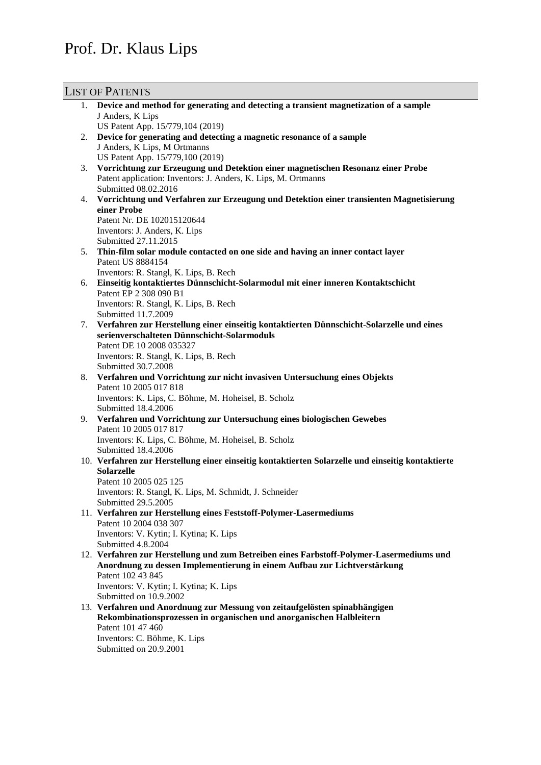# Prof. Dr. Klaus Lips

## LIST OF PATENTS

|    | <sup>11</sup> OI T WILLING                                                                          |
|----|-----------------------------------------------------------------------------------------------------|
|    | 1. Device and method for generating and detecting a transient magnetization of a sample             |
|    | J Anders, K Lips                                                                                    |
|    | US Patent App. 15/779,104 (2019)                                                                    |
| 2. | Device for generating and detecting a magnetic resonance of a sample                                |
|    | J Anders, K Lips, M Ortmanns                                                                        |
|    | US Patent App. 15/779,100 (2019)                                                                    |
| 3. | Vorrichtung zur Erzeugung und Detektion einer magnetischen Resonanz einer Probe                     |
|    | Patent application: Inventors: J. Anders, K. Lips, M. Ortmanns                                      |
|    | Submitted 08.02.2016                                                                                |
| 4. | Vorrichtung und Verfahren zur Erzeugung und Detektion einer transienten Magnetisierung              |
|    | einer Probe                                                                                         |
|    | Patent Nr. DE 102015120644                                                                          |
|    | Inventors: J. Anders, K. Lips                                                                       |
|    | Submitted 27.11.2015                                                                                |
| 5. | Thin-film solar module contacted on one side and having an inner contact layer<br>Patent US 8884154 |
|    | Inventors: R. Stangl, K. Lips, B. Rech                                                              |
| 6. | Einseitig kontaktiertes Dünnschicht-Solarmodul mit einer inneren Kontaktschicht                     |
|    | Patent EP 2 308 090 B1                                                                              |
|    | Inventors: R. Stangl, K. Lips, B. Rech                                                              |
|    | Submitted 11.7.2009                                                                                 |
|    | 7. Verfahren zur Herstellung einer einseitig kontaktierten Dünnschicht-Solarzelle und eines         |
|    | serienverschalteten Dünnschicht-Solarmoduls                                                         |
|    | Patent DE 10 2008 035327                                                                            |
|    | Inventors: R. Stangl, K. Lips, B. Rech                                                              |
|    | Submitted 30.7.2008                                                                                 |
| 8. | Verfahren und Vorrichtung zur nicht invasiven Untersuchung eines Objekts                            |
|    | Patent 10 2005 017 818                                                                              |
|    | Inventors: K. Lips, C. Böhme, M. Hoheisel, B. Scholz                                                |
|    | Submitted 18.4.2006                                                                                 |
| 9. | Verfahren und Vorrichtung zur Untersuchung eines biologischen Gewebes                               |
|    | Patent 10 2005 017 817                                                                              |
|    | Inventors: K. Lips, C. Böhme, M. Hoheisel, B. Scholz                                                |
|    | Submitted 18.4.2006                                                                                 |
|    | 10. Verfahren zur Herstellung einer einseitig kontaktierten Solarzelle und einseitig kontaktierte   |
|    | <b>Solarzelle</b>                                                                                   |
|    | Patent 10 2005 025 125                                                                              |
|    | Inventors: R. Stangl, K. Lips, M. Schmidt, J. Schneider                                             |
|    | Submitted 29.5.2005                                                                                 |
|    | 11. Verfahren zur Herstellung eines Feststoff-Polymer-Lasermediums                                  |
|    | Patent 10 2004 038 307                                                                              |
|    | Inventors: V. Kytin; I. Kytina; K. Lips                                                             |
|    | Submitted 4.8.2004                                                                                  |
|    | 12. Verfahren zur Herstellung und zum Betreiben eines Farbstoff-Polymer-Lasermediums und            |
|    | Anordnung zu dessen Implementierung in einem Aufbau zur Lichtverstärkung                            |
|    | Patent 102 43 845                                                                                   |
|    | Inventors: V. Kytin; I. Kytina; K. Lips                                                             |
|    | Submitted on 10.9.2002                                                                              |
|    | 13. Verfahren und Anordnung zur Messung von zeitaufgelösten spinabhängigen                          |
|    | Rekombinationsprozessen in organischen und anorganischen Halbleitern                                |
|    | Patent 101 47 460                                                                                   |
|    | Inventors: C. Böhme, K. Lips                                                                        |
|    | Submitted on 20.9.2001                                                                              |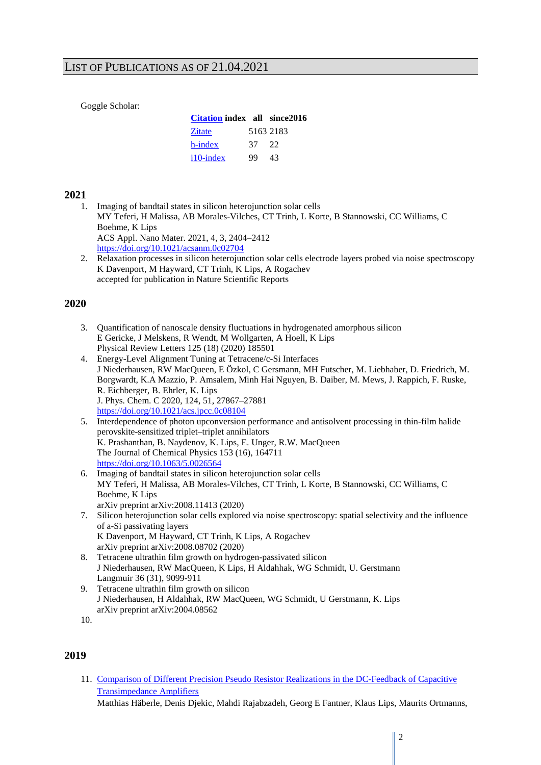### LIST OF PUBLICATIONS AS OF 21.04.2021

Goggle Scholar:

| <b>Citation index all since 2016</b> |     |           |
|--------------------------------------|-----|-----------|
| Zitate                               |     | 5163 2183 |
| h-index                              | 37. | - 22      |
| $i10$ -index                         | 99  | 43        |

### **2021**

1. Imaging of bandtail states in silicon heterojunction solar cells MY Teferi, H Malissa, AB Morales-Vilches, CT Trinh, L Korte, B Stannowski, CC Williams, C Boehme, K Lips ACS Appl. Nano Mater. 2021, 4, 3, 2404–2412 <https://doi.org/10.1021/acsanm.0c02704>

2. Relaxation processes in silicon heterojunction solar cells electrode layers probed via noise spectroscopy K Davenport, M Hayward, CT Trinh, K Lips, A Rogachev accepted for publication in Nature Scientific Reports

### **2020**

- 3. Quantification of nanoscale density fluctuations in hydrogenated amorphous silicon E Gericke, J Melskens, R Wendt, M Wollgarten, A Hoell, K Lips Physical Review Letters 125 (18) (2020) 185501
- 4. Energy-Level Alignment Tuning at Tetracene/c-Si Interfaces J Niederhausen, RW MacQueen, E Özkol, C Gersmann, MH Futscher, M. Liebhaber, D. Friedrich, M. Borgwardt, K.A Mazzio, P. Amsalem, Minh Hai Nguyen, B. Daiber, M. Mews, J. Rappich, F. Ruske, R. Eichberger, B. Ehrler, K. Lips J. Phys. Chem. C 2020, 124, 51, 27867–27881 <https://doi.org/10.1021/acs.jpcc.0c08104>
- 5. Interdependence of photon upconversion performance and antisolvent processing in thin-film halide perovskite-sensitized triplet–triplet annihilators K. Prashanthan, B. Naydenov, K. Lips, E. Unger, R.W. MacQueen The Journal of Chemical Physics 153 (16), 164711 <https://doi.org/10.1063/5.0026564>
- 6. Imaging of bandtail states in silicon heterojunction solar cells MY Teferi, H Malissa, AB Morales-Vilches, CT Trinh, L Korte, B Stannowski, CC Williams, C Boehme, K Lips arXiv preprint arXiv:2008.11413 (2020)
- 7. Silicon heterojunction solar cells explored via noise spectroscopy: spatial selectivity and the influence of a-Si passivating layers K Davenport, M Hayward, CT Trinh, K Lips, A Rogachev arXiv preprint arXiv:2008.08702 (2020)
- 8. Tetracene ultrathin film growth on hydrogen-passivated silicon J Niederhausen, RW MacQueen, K Lips, H Aldahhak, WG Schmidt, U. Gerstmann Langmuir 36 (31), 9099-911
- 9. Tetracene ultrathin film growth on silicon J Niederhausen, H Aldahhak, RW MacQueen, WG Schmidt, U Gerstmann, K. Lips arXiv preprint arXiv:2004.08562

### **2019**

11. [Comparison of Different Precision Pseudo Resistor Realizations in the DC-Feedback of Capacitive](https://ieeexplore.ieee.org/abstract/document/8965196)  [Transimpedance Amplifiers](https://ieeexplore.ieee.org/abstract/document/8965196)

Matthias Häberle, Denis Djekic, Mahdi Rajabzadeh, Georg E Fantner, Klaus Lips, Maurits Ortmanns,

<sup>10.</sup>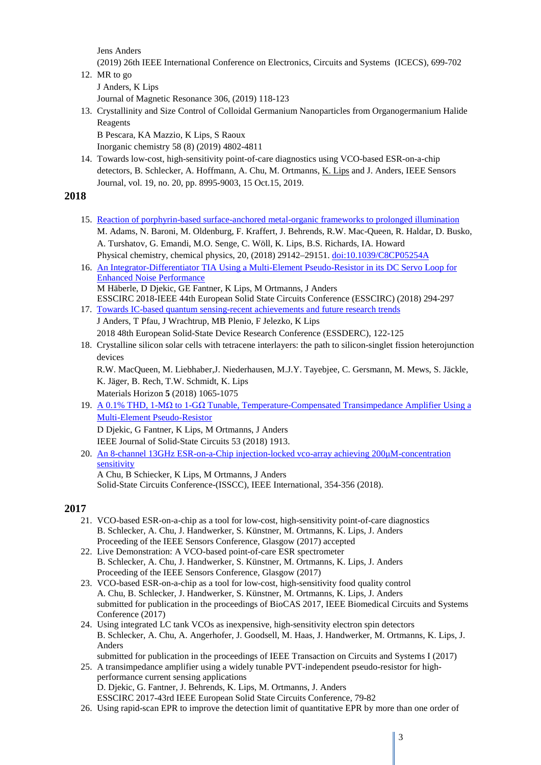Jens Anders

(2019) 26th IEEE International Conference on Electronics, Circuits and Systems (ICECS), 699-702

12. MR to go

J Anders, K Lips

Journal of Magnetic Resonance 306, (2019) 118-123

13. Crystallinity and Size Control of Colloidal Germanium Nanoparticles from Organogermanium Halide Reagents

B Pescara, KA Mazzio, K Lips, S Raoux

Inorganic chemistry 58 (8) (2019) 4802-4811

14. Towards low-cost, high-sensitivity point-of-care diagnostics using VCO-based ESR-on-a-chip detectors, B. Schlecker, A. Hoffmann, A. Chu, M. Ortmanns, K. Lips and J. Anders, IEEE Sensors Journal, vol. 19, no. 20, pp. 8995-9003, 15 Oct.15, 2019.

### **2018**

- 15. [Reaction of porphyrin-based surface-anchored metal-organic frameworks to prolonged illumination](https://pubs.rsc.org/en/Content/ArticleLanding/2018/CP/C8CP05254A#!divAbstract) M. Adams, N. Baroni, M. Oldenburg, F. Kraffert, J. Behrends, R.W. Mac-Queen, R. Haldar, D. Busko, A. Turshatov, G. Emandi, M.O. Senge, C. Wöll, K. Lips, B.S. Richards, IA. Howard Physical chemistry, chemical physics, 20, (2018) 29142–29151[. doi:10.1039/C8CP05254A](https://doi.org/10.1039/C8CP05254A)
- 16. [An Integrator-Differentiator TIA Using a Multi-Element Pseudo-Resistor in its DC Servo Loop for](javascript:void(0))  [Enhanced Noise Performance](javascript:void(0)) M Häberle, D Djekic, GE Fantner, K Lips, M Ortmanns, J Anders ESSCIRC 2018-IEEE 44th European Solid State Circuits Conference (ESSCIRC) (2018) 294-297
- 17. [Towards IC-based quantum sensing-recent achievements and future research trends](javascript:void(0)) J Anders, T Pfau, J Wrachtrup, MB Plenio, F Jelezko, K Lips 2018 48th European Solid-State Device Research Conference (ESSDERC), 122-125
- 18. Crystalline silicon solar cells with tetracene interlayers: the path to silicon-singlet fission heterojunction devices

R.W. MacQueen, M. Liebhaber,J. Niederhausen, M.J.Y. Tayebjee, C. Gersmann, M. Mews, S. Jäckle, K. Jäger, B. Rech, T.W. Schmidt, K. Lips Materials Horizon **5** (2018) 1065-1075

- 19. A 0.1% THD, 1-MΩ to 1-GΩ [Tunable, Temperature-Compensated Transimpedance Amplifier Using a](javascript:void(0))  [Multi-Element Pseudo-Resistor](javascript:void(0)) D Djekic, G Fantner, K Lips, M Ortmanns, J Anders IEEE Journal of Solid-State Circuits 53 (2018) 1913.
- 20. [An 8-channel 13GHz ESR-on-a-Chip injection-locked vco-array achieving 200](javascript:void(0))μM-concentration [sensitivity](javascript:void(0)) A Chu, B Schiecker, K Lips, M Ortmanns, J Anders Solid-State Circuits Conference-(ISSCC), IEEE International, 354-356 (2018).

- 21. VCO-based ESR-on-a-chip as a tool for low-cost, high-sensitivity point-of-care diagnostics B. Schlecker, A. Chu, J. Handwerker, S. Künstner, M. Ortmanns, K. Lips, J. Anders Proceeding of the IEEE Sensors Conference, Glasgow (2017) accepted
- 22. Live Demonstration: A VCO-based point-of-care ESR spectrometer B. Schlecker, A. Chu, J. Handwerker, S. Künstner, M. Ortmanns, K. Lips, J. Anders Proceeding of the IEEE Sensors Conference, Glasgow (2017)
- 23. VCO-based ESR-on-a-chip as a tool for low-cost, high-sensitivity food quality control A. Chu, B. Schlecker, J. Handwerker, S. Künstner, M. Ortmanns, K. Lips, J. Anders submitted for publication in the proceedings of BioCAS 2017, IEEE Biomedical Circuits and Systems Conference (2017)
- 24. Using integrated LC tank VCOs as inexpensive, high-sensitivity electron spin detectors B. Schlecker, A. Chu, A. Angerhofer, J. Goodsell, M. Haas, J. Handwerker, M. Ortmanns, K. Lips, J. Anders
- submitted for publication in the proceedings of IEEE Transaction on Circuits and Systems I (2017) 25. A transimpedance amplifier using a widely tunable PVT-independent pseudo-resistor for high-
- performance current sensing applications D. Djekic, G. Fantner, J. Behrends, K. Lips, M. Ortmanns, J. Anders ESSCIRC 2017-43rd IEEE European Solid State Circuits Conference, 79-82
- 26. Using rapid-scan EPR to improve the detection limit of quantitative EPR by more than one order of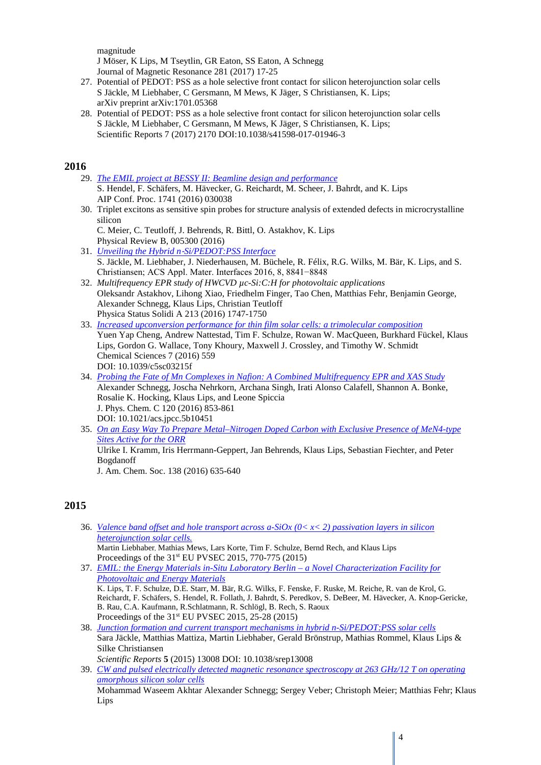magnitude J Möser, K Lips, M Tseytlin, GR Eaton, SS Eaton, A Schnegg Journal of Magnetic Resonance 281 (2017) 17-25

- 27. Potential of PEDOT: PSS as a hole selective front contact for silicon heterojunction solar cells S Jäckle, M Liebhaber, C Gersmann, M Mews, K Jäger, S Christiansen, K. Lips; arXiv preprint arXiv:1701.05368
- 28. Potential of PEDOT: PSS as a hole selective front contact for silicon heterojunction solar cells S Jäckle, M Liebhaber, C Gersmann, M Mews, K Jäger, S Christiansen, K. Lips; Scientific Reports 7 (2017) 2170 DOI:10.1038/s41598-017-01946-3

### **2016**

- 29. *[The EMIL project at BESSY II: Beamline design and performance](http://scitation.aip.org/content/aip/proceeding/aipcp/10.1063/1.4952861)* S. Hendel, F. Schäfers, M. Hävecker, G. Reichardt, M. Scheer, J. Bahrdt, and K. Lips AIP Conf. Proc. 1741 (2016) 030038
- 30. Triplet excitons as sensitive spin probes for structure analysis of extended defects in microcrystalline silicon

C. Meier, C. Teutloff, J. Behrends, R. Bittl, O. Astakhov, K. Lips Physical Review B, 005300 (2016)

- 31. *Unveiling the Hybrid n*‑*[Si/PEDOT:PSS Interface](http://pubs.acs.org/doi/abs/10.1021/acsami.6b01596)* S. Jäckle, M. Liebhaber, J. Niederhausen, M. Büchele, R. Félix, R.G. Wilks, M. Bär, K. Lips, and S. Christiansen; ACS Appl. Mater. Interfaces 2016, 8, 8841−8848
- 32. *Multifrequency EPR study of HWCVD µc-Si:C:H for photovoltaic applications* Oleksandr Astakhov, Lihong Xiao, Friedhelm Finger, Tao Chen, Matthias Fehr, Benjamin George, Alexander Schnegg, Klaus Lips, Christian Teutloff Physica Status Solidi A 213 (2016) 1747-1750
- 33. *[Increased upconversion performance for thin film solar cells: a trimolecular composition](http://pubs.rsc.org/en/content/articlelanding/2015/sc/c5sc03215f#!divAbstract)* Yuen Yap Cheng, Andrew Nattestad, Tim F. Schulze, Rowan W. MacQueen, Burkhard Fückel, Klaus Lips, Gordon G. Wallace, Tony Khoury, Maxwell J. Crossley, and Timothy W. Schmidt Chemical Sciences 7 (2016) 559 DOI: 10.1039/c5sc03215f
- 34. *[Probing the Fate of Mn Complexes in Nafion: A Combined Multifrequency EPR and XAS Study](http://pubs.acs.org/doi/abs/10.1021/acs.jpcc.5b10451?journalCode=jpccck)* Alexander Schnegg, Joscha Nehrkorn, Archana Singh, Irati Alonso Calafell, Shannon A. Bonke, Rosalie K. Hocking, Klaus Lips, and Leone Spiccia J. Phys. Chem. C 120 (2016) 853-861 DOI: 10.1021/acs.jpcc.5b10451
- 35. *[On an Easy Way To Prepare Metal–Nitrogen Doped Carbon with Exclusive Presence of MeN4-type](http://pubs.acs.org/doi/abs/10.1021/jacs.5b11015)  [Sites Active for the ORR](http://pubs.acs.org/doi/abs/10.1021/jacs.5b11015)* Ulrike I. Kramm, Iris Herrmann-Geppert, Jan Behrends, Klaus Lips, Sebastian Fiechter, and Peter Bogdanoff

J. Am. Chem. Soc. 138 (2016) 635-640

### **2015**

- 36. *[Valence band offset and hole transport across a-SiOx \(0< x< 2\) passivation layers in silicon](http://www.eupvsec-proceedings.com/proceedings?fulltext=liebhaber&paper=33909)  [heterojunction solar](http://www.eupvsec-proceedings.com/proceedings?fulltext=liebhaber&paper=33909) cells.* Martin Liebhaber, Mathias Mews, Lars Korte, Tim F. Schulze, Bernd Rech, and Klaus Lips Proceedings of the 31st EU PVSEC 2015, 770-775 (2015)
- 37. *[EMIL: the Energy Materials in-Situ Laboratory Berlin –](http://www.eupvsec-proceedings.com/proceedings?fulltext=lips&paper=34827) a Novel Characterization Facility for [Photovoltaic and Energy Materials](http://www.eupvsec-proceedings.com/proceedings?fulltext=lips&paper=34827)* K. Lips, T. F. Schulze, D.E. Starr, M. Bär, R.G. Wilks, F. Fenske, F. Ruske, M. Reiche, R. van de Krol, G. Reichardt, F. Schäfers, S. Hendel, R. Follath, J. Bahrdt, S. Peredkov, S. DeBeer, M. Hävecker, A. Knop-Gericke, B. Rau, C.A. Kaufmann, R.Schlatmann, R. Schlögl, B. Rech, S. Raoux Proceedings of the  $31<sup>st</sup> EU PVSEC 2015, 25-28 (2015)$
- 38. *[Junction formation and current transport mechanisms in hybrid n-Si/PEDOT:PSS solar cells](http://www.nature.com/articles/srep13008)* Sara Jäckle, Matthias Mattiza, Martin Liebhaber, Gerald Brönstrup, Mathias Rommel, Klaus Lips & Silke Christiansen

*Scientific Reports* **5** (2015) 13008 DOI: 10.1038/srep13008

39. *[CW and pulsed electrically detected magnetic resonance spectroscopy at 263 GHz/12 T on operating](http://www.sciencedirect.com/science/article/pii/S1090780715001299)  [amorphous silicon solar cells](http://www.sciencedirect.com/science/article/pii/S1090780715001299)* Mohammad Waseem Akhtar Alexander Schnegg; Sergey Veber; Christoph Meier; Matthias Fehr; Klaus Lips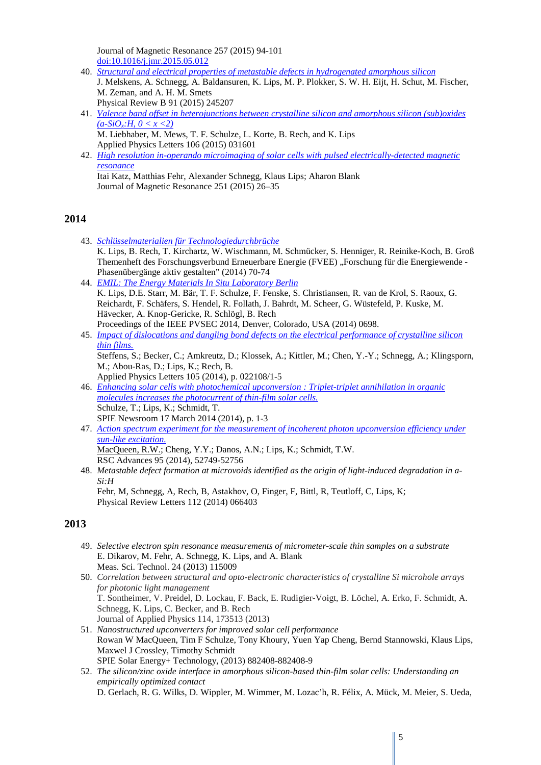Journal of Magnetic Resonance 257 (2015) 94-101 [doi:10.1016/j.jmr.2015.05.012](http://dx.doi.org/10.1016/j.jmr.2015.05.012)

- 40. *[Structural and electrical properties of metastable defects in hydrogenated amorphous silicon](http://journals.aps.org/prb/abstract/10.1103/PhysRevB.91.245207)* J. Melskens, A. Schnegg, A. Baldansuren, K. Lips, M. P. Plokker, S. W. H. Eijt, H. Schut, M. Fischer, M. Zeman, and A. H. M. Smets Physical Review B 91 (2015) 245207
- 41. *[Valence band offset in heterojunctions between crystalline silicon and amorphous silicon \(sub\)oxides](http://scitation.aip.org/content/aip/journal/apl/106/3/10.1063/1.4906195)*   $(a-SiO_x; H, 0 < x < 2)$ M. Liebhaber, M. Mews, T. F. Schulze, L. Korte, B. Rech, and K. Lips Applied Physics Letters 106 (2015) 031601
- 42. *[High resolution in-operando microimaging of solar cells with pulsed electrically-detected magnetic](http://www.sciencedirect.com/science/article/pii/S1090780714003292)  [resonance](http://www.sciencedirect.com/science/article/pii/S1090780714003292)* Itai Katz, Matthias Fehr, Alexander Schnegg, Klaus Lips; Aharon Blank Journal of Magnetic Resonance 251 (2015) 26–35

### **2014**

- 43. *[Schlüsselmaterialien für Technologiedurchbrüche](http://www.fvee.de/fileadmin/publikationen/Themenhefte/th2014/th2014_05_05.pdf)* K. Lips, B. Rech, T. Kirchartz, W. Wischmann, M. Schmücker, S. Henniger, R. Reinike-Koch, B. Groß Themenheft des Forschungsverbund Erneuerbare Energie (FVEE) "Forschung für die Energiewende -Phasenübergänge aktiv gestalten" (2014) 70-74
- 44. *[EMIL: The Energy Materials In Situ Laboratory Berlin](http://ieeexplore.ieee.org/xpl/articleDetails.jsp?arnumber=6925017&searchWithin%3DLips%26filter%3DAND%28p_IS_Number%3A6924865%29)* K. Lips, D.E. Starr, M. Bär, T. F. Schulze, F. Fenske, S. Christiansen, R. van de Krol, S. Raoux, G. Reichardt, F. Schäfers, S. Hendel, R. Follath, J. Bahrdt, M. Scheer, G. Wüstefeld, P. Kuske, M. Hävecker, A. Knop-Gericke, R. Schlögl, B. Rech Proceedings of the IEEE PVSEC 2014, Denver, Colorado, USA (2014) 0698.
- 45. *[Impact of dislocations and dangling bond defects on the electrical performance of crystalline silicon](http://www.helmholtz-berlin.de/pubbin/oai_publication?ID=81195&typoid=4247)  [thin films.](http://www.helmholtz-berlin.de/pubbin/oai_publication?ID=81195&typoid=4247)* Steffens, S.; Becker, C.; Amkreutz, D.; Klossek, A.; Kittler, M.; Chen, Y.-Y.; Schnegg, A.; Klingsporn,

M.; Abou-Ras, D.; Lips, K.; Rech, B.

Applied Physics Letters 105 (2014), p. 022108/1-5

- 46. *[Enhancing solar cells with photochemical upconversion : Triplet-triplet annihilation in organic](http://www.helmholtz-berlin.de/pubbin/oai_publication?ID=82969&typoid=4247)  [molecules increases the photocurrent of thin-film solar cells.](http://www.helmholtz-berlin.de/pubbin/oai_publication?ID=82969&typoid=4247)* Schulze, T.; Lips, K.; Schmidt, T. SPIE Newsroom 17 March 2014 (2014), p. 1-3
- 47. *[Action spectrum experiment for the measurement of incoherent photon upconversion efficiency under](http://www.helmholtz-berlin.de/pubbin/oai_publication?ID=82950&typoid=4247)  [sun-like excitation.](http://www.helmholtz-berlin.de/pubbin/oai_publication?ID=82950&typoid=4247)* MacQueen, R.W.; Cheng, Y.Y.; Danos, A.N.; Lips, K.; Schmidt, T.W. RSC Advances 95 (2014), 52749-52756
- 48. *Metastable defect formation at microvoids identified as the origin of light-induced degradation in a-Si:H*

Fehr, M, Schnegg, A, Rech, B, Astakhov, O, Finger, F, Bittl, R, Teutloff, C, Lips, K; Physical Review Letters 112 (2014) 066403

- 49. *Selective electron spin resonance measurements of micrometer-scale thin samples on a substrate* E. Dikarov, M. Fehr, A. Schnegg, K. Lips, and A. Blank Meas. Sci. Technol. 24 (2013) 115009
- 50. *Correlation between structural and opto-electronic characteristics of crystalline Si microhole arrays for photonic light management* T. Sontheimer, V. Preidel, D. Lockau, F. Back, E. Rudigier-Voigt, B. Löchel, A. Erko, F. Schmidt, A. Schnegg, K. Lips, C. Becker, and B. Rech Journal of Applied Physics 114, 173513 (2013)
- 51. *Nanostructured upconverters for improved solar cell performance* Rowan W MacQueen, Tim F Schulze, Tony Khoury, Yuen Yap Cheng, Bernd Stannowski, Klaus Lips, Maxwel J Crossley, Timothy Schmidt SPIE Solar Energy+ Technology, (2013) 882408-882408-9
- 52. *The silicon/zinc oxide interface in amorphous silicon-based thin-film solar cells: Understanding an empirically optimized contact* D. Gerlach, R. G. Wilks, D. Wippler, M. Wimmer, M. Lozac'h, R. Félix, A. Mück, M. Meier, S. Ueda,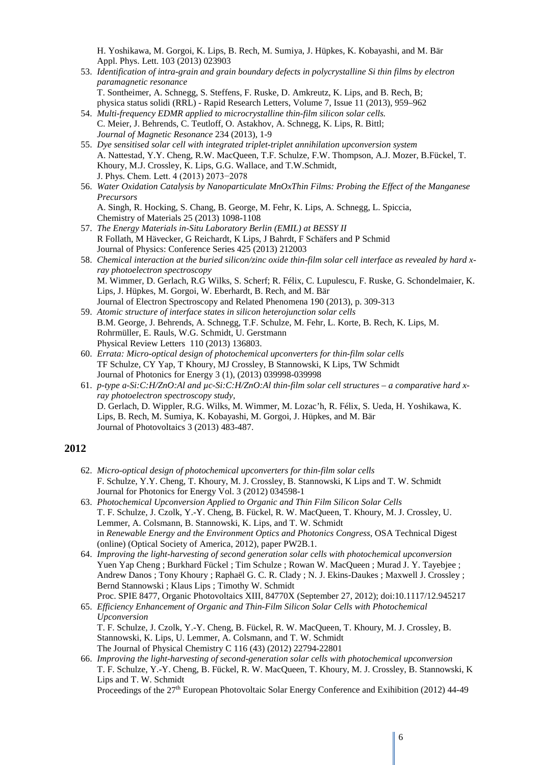H. Yoshikawa, M. Gorgoi, K. Lips, B. Rech, M. Sumiya, J. Hüpkes, K. Kobayashi, and M. Bär Appl. Phys. Lett. 103 (2013) 023903

- 53. *Identification of intra-grain and grain boundary defects in polycrystalline Si thin films by electron paramagnetic resonance* T. Sontheimer, A. Schnegg, S. Steffens, F. Ruske, D. Amkreutz, K. Lips, and B. Rech, B;
	- physica status solidi (RRL) Rapid Research Letters, Volume 7, Issue 11 (2013), 959–962
- 54. *Multi-frequency EDMR applied to microcrystalline thin-film silicon solar cells.* C. Meier, J. Behrends, C. Teutloff, O. Astakhov, A. Schnegg, K. Lips, R. Bittl; *Journal of Magnetic Resonance* 234 (2013), 1-9
- 55. *Dye sensitised solar cell with integrated triplet-triplet annihilation upconversion system* A. Nattestad, Y.Y. Cheng, R.W. MacQueen, T.F. Schulze, F.W. Thompson, A.J. Mozer, B.Fückel, T. Khoury, M.J. Crossley, K. Lips, G.G. Wallace, and T.W.Schmidt, J. Phys. Chem. Lett. 4 (2013) 2073−2078
- 56. *Water Oxidation Catalysis by Nanoparticulate MnOxThin Films: Probing the Effect of the Manganese Precursors* A. Singh, R. Hocking, S. Chang, B. George, M. Fehr, K. Lips, A. Schnegg, L. Spiccia, Chemistry of Materials 25 (2013) 1098-1108
- 57. *The Energy Materials in-Situ Laboratory Berlin (EMIL) at BESSY II* R Follath, M Hävecker, G Reichardt, K Lips, J Bahrdt, F Schäfers and P Schmid Journal of Physics: Conference Series 425 (2013) 212003
- 58. *Chemical interaction at the buried silicon/zinc oxide thin-film solar cell interface as revealed by hard xray photoelectron spectroscopy* M. Wimmer, D. Gerlach, R.G Wilks, S. Scherf; R. Félix, C. Lupulescu, F. Ruske, G. Schondelmaier, K. Lips, J. Hüpkes, M. Gorgoi, W. Eberhardt, B. Rech, and M. Bär Journal of Electron Spectroscopy and Related Phenomena 190 (2013), p. 309-313
- 59. *Atomic structure of interface states in silicon heterojunction solar cells* B.M. George, J. Behrends, A. Schnegg, T.F. Schulze, M. Fehr, L. Korte, B. Rech, K. Lips, M. Rohrmüller, E. Rauls, W.G. Schmidt, U. Gerstmann Physical Review Letters 110 (2013) 136803.
- 60. *Errata: Micro-optical design of photochemical upconverters for thin-film solar cells* TF Schulze, CY Yap, T Khoury, MJ Crossley, B Stannowski, K Lips, TW Schmidt Journal of Photonics for Energy 3 (1), (2013) 039998-039998
- 61. *p-type a-Si:C:H/ZnO:Al and µc-Si:C:H/ZnO:Al thin-film solar cell structures – a comparative hard xray photoelectron spectroscopy study,*  D. Gerlach, D. Wippler, R.G. Wilks, M. Wimmer, M. Lozac'h, R. Félix, S. Ueda, H. Yoshikawa, K. Lips, B. Rech, M. Sumiya, K. Kobayashi, M. Gorgoi, J. Hüpkes, and M. Bär Journal of Photovoltaics 3 (2013) 483-487.

### **2012**

- 62. *Micro-optical design of photochemical upconverters for thin-film solar cells* F. Schulze, Y.Y. Cheng, T. Khoury, M. J. Crossley, B. Stannowski, K Lips and T. W. Schmidt Journal for Photonics for Energy Vol. 3 (2012) 034598-1
- 63. *Photochemical Upconversion Applied to Organic and Thin Film Silicon Solar Cells* T. F. Schulze, J. Czolk, Y.-Y. Cheng, B. Fückel, R. W. MacQueen, T. Khoury, M. J. Crossley, U. Lemmer, A. Colsmann, B. Stannowski, K. Lips, and T. W. Schmidt in *Renewable Energy and the Environment Optics and Photonics Congress*, OSA Technical Digest (online) (Optical Society of America, 2012), paper PW2B.1.
- 64. *Improving the light-harvesting of second generation solar cells with photochemical upconversion* Yuen Yap Cheng ; Burkhard Fückel ; Tim Schulze ; Rowan W. MacQueen ; Murad J. Y. Tayebjee ; Andrew Danos ; Tony Khoury ; Raphaël G. C. R. Clady ; N. J. Ekins-Daukes ; Maxwell J. Crossley ; Bernd Stannowski ; Klaus Lips ; Timothy W. Schmidt Proc. SPIE 8477, Organic Photovoltaics XIII, 84770X (September 27, 2012); doi:10.1117/12.945217
- 65. *Efficiency Enhancement of Organic and Thin-Film Silicon Solar Cells with Photochemical Upconversion* T. F. Schulze, J. Czolk, Y.-Y. Cheng, B. Fückel, R. W. MacQueen, T. Khoury, M. J. Crossley, B. Stannowski, K. Lips, U. Lemmer, A. Colsmann, and T. W. Schmidt The Journal of Physical Chemistry C 116 (43) (2012) 22794-22801
- 66. *Improving the light-harvesting of second-generation solar cells with photochemical upconversion* T. F. Schulze, Y.-Y. Cheng, B. Fückel, R. W. MacQueen, T. Khoury, M. J. Crossley, B. Stannowski, K Lips and T. W. Schmidt

Proceedings of the 27<sup>th</sup> European Photovoltaic Solar Energy Conference and Exihibition (2012) 44-49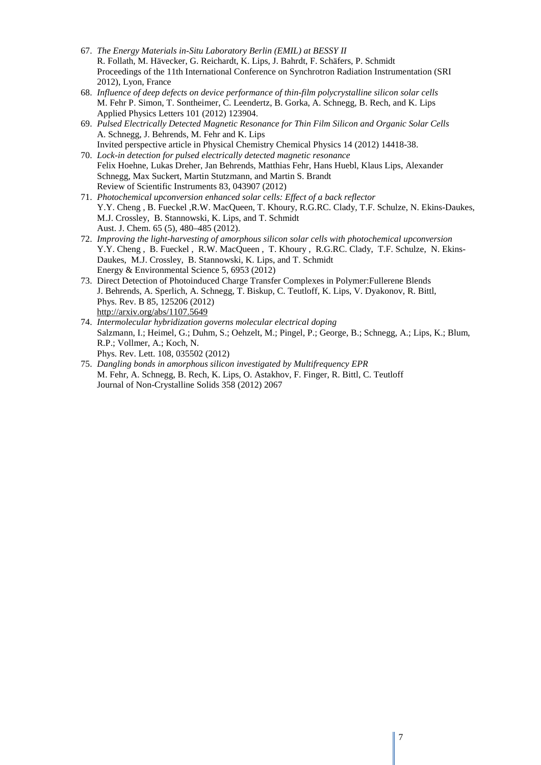- 67. *The Energy Materials in-Situ Laboratory Berlin (EMIL) at BESSY II* R. Follath, M. Hävecker, G. Reichardt, K. Lips, J. Bahrdt, F. Schäfers, P. Schmidt Proceedings of the 11th International Conference on Synchrotron Radiation Instrumentation (SRI 2012), Lyon, France
- 68. *Influence of deep defects on device performance of thin-film polycrystalline silicon solar cells* M. Fehr P. Simon, T. Sontheimer, C. Leendertz, B. Gorka, A. Schnegg, B. Rech, and K. Lips Applied Physics Letters 101 (2012) 123904.
- 69. *Pulsed Electrically Detected Magnetic Resonance for Thin Film Silicon and Organic Solar Cells* A. Schnegg, J. Behrends, M. Fehr and K. Lips Invited perspective article in Physical Chemistry Chemical Physics 14 (2012) 14418-38.
- 70. *Lock-in detection for pulsed electrically detected magnetic resonance* Felix Hoehne, Lukas Dreher, Jan Behrends, Matthias Fehr, Hans Huebl, Klaus Lips, Alexander Schnegg, Max Suckert, Martin Stutzmann, and Martin S. Brandt Review of Scientific Instruments 83, 043907 (2012)
- 71. *Photochemical upconversion enhanced solar cells: Effect of a back reflector* Y.Y. Cheng , B. Fueckel ,R.W. MacQueen, T. Khoury, R.G.RC. Clady, T.F. Schulze, N. Ekins-Daukes, M.J. Crossley, B. Stannowski, K. Lips, and T. Schmidt Aust. J. Chem. 65 (5), 480–485 (2012).
- 72. *Improving the light-harvesting of amorphous silicon solar cells with photochemical upconversion* Y.Y. Cheng , B. Fueckel , R.W. MacQueen , T. Khoury , R.G.RC. Clady, T.F. Schulze, N. Ekins-Daukes, M.J. Crossley, B. Stannowski, K. Lips, and T. Schmidt Energy & Environmental Science 5, 6953 (2012)
- 73. Direct Detection of Photoinduced Charge Transfer Complexes in Polymer:Fullerene Blends J. Behrends, A. Sperlich, A. Schnegg, T. Biskup, C. Teutloff, K. Lips, V. Dyakonov, R. Bittl, Phys. Rev. B 85, 125206 (2012) <http://arxiv.org/abs/1107.5649>
- 74. *Intermolecular hybridization governs molecular electrical doping* Salzmann, I.; Heimel, G.; Duhm, S.; Oehzelt, M.; Pingel, P.; George, B.; Schnegg, A.; Lips, K.; Blum, R.P.; Vollmer, A.; Koch, N. Phys. Rev. Lett. 108, 035502 (2012)
- 75. *Dangling bonds in amorphous silicon investigated by Multifrequency EPR* M. Fehr, A. Schnegg, B. Rech, K. Lips, O. Astakhov, F. Finger, R. Bittl, C. Teutloff Journal of Non-Crystalline Solids 358 (2012) 2067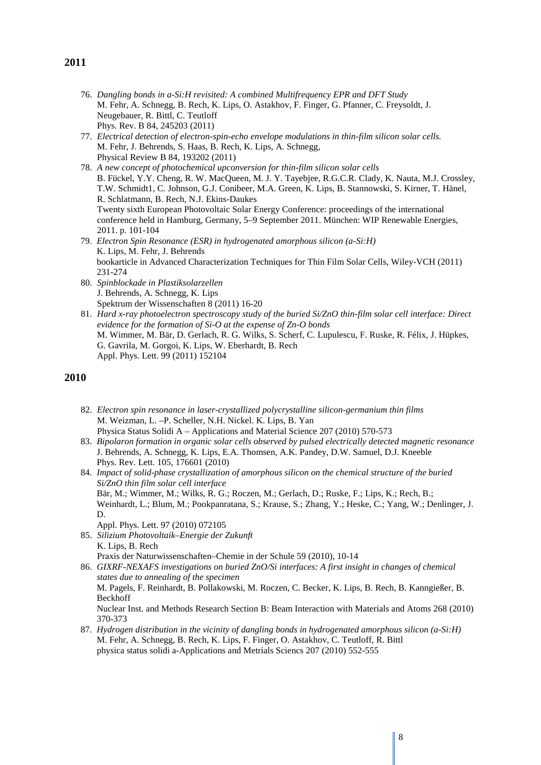- 76. *Dangling bonds in a-Si:H revisited: A combined Multifrequency EPR and DFT Study* M. Fehr, A. Schnegg, B. Rech, K. Lips, O. Astakhov, F. Finger, G. Pfanner, C. Freysoldt, J. Neugebauer, R. Bittl, C. Teutloff Phys. Rev. B 84, 245203 (2011)
- 77. *Electrical detection of electron-spin-echo envelope modulations in thin-film silicon solar cells.* M. Fehr, J. Behrends, S. Haas, B. Rech, K. Lips, A. Schnegg, Physical Review B 84, 193202 (2011)
- 78. *A new concept of photochemical upconversion for thin-film silicon solar cells* B. Fückel, Y.Y. Cheng, R. W. MacQueen, M. J. Y. Tayebjee, R.G.C.R. Clady, K. Nauta, M.J. Crossley, T.W. Schmidt1, C. Johnson, G.J. Conibeer, M.A. Green, K. Lips, B. Stannowski, S. Kirner, T. Hänel, R. Schlatmann, B. Rech, N.J. Ekins-Daukes Twenty sixth European Photovoltaic Solar Energy Conference: proceedings of the international conference held in Hamburg, Germany, 5–9 September 2011. München: WIP Renewable Energies, 2011. p. 101-104
- 79. *Electron Spin Resonance (ESR) in hydrogenated amorphous silicon (a-Si:H)* K. Lips, M. Fehr, J. Behrends bookarticle in Advanced Characterization Techniques for Thin Film Solar Cells, Wiley-VCH (2011) 231-274
- 80. *Spinblockade in Plastiksolarzellen* J. Behrends, A. Schnegg, K. Lips Spektrum der Wissenschaften 8 (2011) 16-20
- 81. *Hard x-ray photoelectron spectroscopy study of the buried Si/ZnO thin-film solar cell interface: Direct evidence for the formation of Si-O at the expense of Zn-O bonds* M. Wimmer, M. Bär, D. Gerlach, R. G. Wilks, S. Scherf, C. Lupulescu, F. Ruske, R. Félix, J. Hüpkes, G. Gavrila, M. Gorgoi, K. Lips, W. Eberhardt, B. Rech Appl. Phys. Lett. 99 (2011) 152104

- 82. *Electron spin resonance in laser-crystallized polycrystalline silicon-germanium thin films* M. Weizman, L. –P. Scheller, N.H. Nickel. K. Lips, B. Yan Physica Status Solidi A – Applications and Material Science 207 (2010) 570-573
- 83. *Bipolaron formation in organic solar cells observed by pulsed electrically detected magnetic resonance* J. Behrends, A. Schnegg, K. Lips, E.A. Thomsen, A.K. Pandey, D.W. Samuel, D.J. Kneeble Phys. Rev. Lett. 105, 176601 (2010)
- 84. *Impact of solid-phase crystallization of amorphous silicon on the chemical structure of the buried Si/ZnO thin film solar cell interface* Bär, M.; Wimmer, M.; Wilks, R. G.; Roczen, M.; Gerlach, D.; Ruske, F.; Lips, K.; Rech, B.; Weinhardt, L.; Blum, M.; Pookpanratana, S.; Krause, S.; Zhang, Y.; Heske, C.; Yang, W.; Denlinger, J. D. Appl. Phys. Lett. 97 (2010) 072105
- 85. *Silizium Photovoltaik–Energie der Zukunft* K. Lips, B. Rech Praxis der Naturwissenschaften–Chemie in der Schule 59 (2010), 10-14
- 86. *GIXRF-NEXAFS investigations on buried ZnO/Si interfaces: A first insight in changes of chemical states due to annealing of the specimen* M. Pagels, F. Reinhardt, B. Pollakowski, M. Roczen, C. Becker, K. Lips, B. Rech, B. Kanngießer, B. Beckhoff Nuclear Inst. and Methods Research Section B: Beam Interaction with Materials and Atoms 268 (2010) 370-373
- 87. *Hydrogen distribution in the vicinity of dangling bonds in hydrogenated amorphous silicon (a-Si:H)* M. Fehr, A. Schnegg, B. Rech, K. Lips, F. Finger, O. Astakhov, C. Teutloff, R. Bittl physica status solidi a-Applications and Metrials Sciencs 207 (2010) 552-555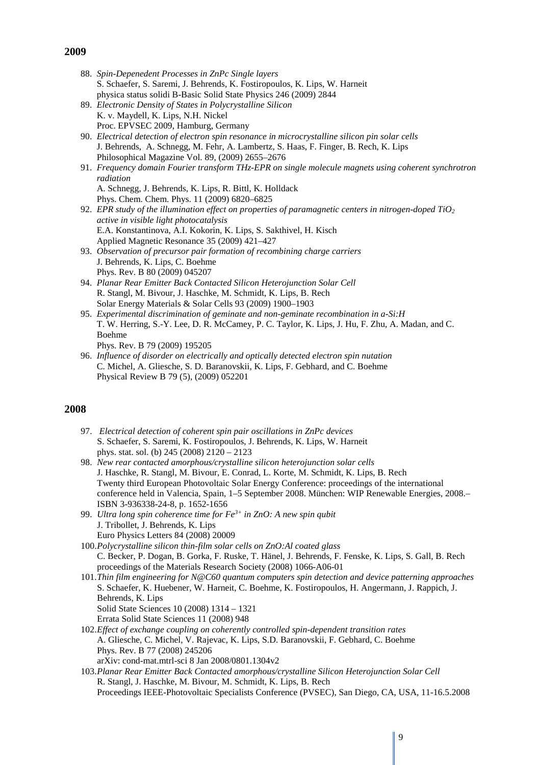- 88. *Spin-Depenedent Processes in ZnPc Single layers* S. Schaefer, S. Saremi, J. Behrends, K. Fostiropoulos, K. Lips, W. Harneit physica status solidi B-Basic Solid State Physics 246 (2009) 2844
- 89. *Electronic Density of States in Polycrystalline Silicon* K. v. Maydell, K. Lips, N.H. Nickel Proc. EPVSEC 2009, Hamburg, Germany
- 90. *Electrical detection of electron spin resonance in microcrystalline silicon pin solar cells* J. Behrends, A. Schnegg, M. Fehr, A. Lambertz, S. Haas, F. Finger, B. Rech, K. Lips Philosophical Magazine Vol. 89, (2009) 2655–2676
- 91. *Frequency domain Fourier transform THz-EPR on single molecule magnets using coherent synchrotron radiation* A. Schnegg, J. Behrends, K. Lips, R. Bittl, K. Holldack
- Phys. Chem. Chem. Phys. 11 (2009) 6820–6825 92. *EPR study of the illumination effect on properties of paramagnetic centers in nitrogen-doped TiO2 active in visible light photocatalysis*  E.A. Konstantinova, A.I. Kokorin, K. Lips, S. Sakthivel, H. Kisch Applied Magnetic Resonance 35 (2009) 421–427
- 93. *Observation of precursor pair formation of recombining charge carriers* J. Behrends, K. Lips, C. Boehme Phys. Rev. B 80 (2009) 045207
- 94. *Planar Rear Emitter Back Contacted Silicon Heterojunction Solar Cell* R. Stangl, M. Bivour, J. Haschke, M. Schmidt, K. Lips, B. Rech Solar Energy Materials & Solar Cells 93 (2009) 1900–1903
- 95. *Experimental discrimination of geminate and non-geminate recombination in a-Si:H* T. W. Herring, S.-Y. Lee, D. R. McCamey, P. C. Taylor, K. Lips, J. Hu, F. Zhu, A. Madan, and C. Boehme Phys. Rev. B 79 (2009) 195205
- 96. *Influence of disorder on electrically and optically detected electron spin nutation* C. Michel, A. Gliesche, S. D. Baranovskii, K. Lips, F. Gebhard, and C. Boehme Physical Review B 79 (5), (2009) 052201

- 97. *[Electrical detection of coherent spin pair oscillations in ZnPc devices](http://www3.interscience.wiley.com/journal/121389841/abstract?CRETRY=1&SRETRY=0)* S. Schaefer, S. Saremi, K. Fostiropoulos, J. Behrends, K. Lips, W. Harneit phys. stat. sol. (b) 245 (2008) 2120 – 2123
- 98. *New rear contacted amorphous/crystalline silicon heterojunction solar cells* J. Haschke, R. Stangl, M. Bivour, E. Conrad, L. Korte, M. Schmidt, K. Lips, B. Rech Twenty third European Photovoltaic Solar Energy Conference: proceedings of the international conference held in Valencia, Spain, 1–5 September 2008. München: WIP Renewable Energies, 2008.– ISBN 3-936338-24-8, p. 1652-1656
- 99. *Ultra long spin coherence time for Fe3+ in ZnO: A new spin qubit* J. Tribollet, J. Behrends, K. Lips Euro Physics Letters 84 (2008) 20009
- 100.*Polycrystalline silicon thin-film solar cells on ZnO:Al coated glass* C. Becker, P. Dogan, B. Gorka, F. Ruske, T. Hänel, J. Behrends, F. Fenske, K. Lips, S. Gall, B. Rech proceedings of the Materials Research Society (2008) 1066-A06-01
- 101.*Thin film engineering for N@C60 quantum computers spin detection and device patterning approaches* S. Schaefer, K. Huebener, W. Harneit, C. Boehme, K. Fostiropoulos, H. Angermann, J. Rappich, J. Behrends, K. Lips Solid State Sciences 10 (2008) 1314 – 1321 Errata Solid State Sciences 11 (2008) 948
- 102.*Effect of exchange coupling on coherently controlled spin-dependent transition rates* A. Gliesche, C. Michel, V. Rajevac, K. Lips, S.D. Baranovskii, F. Gebhard, C. Boehme Phys. Rev. B 77 (2008) 245206 arXiv: cond-mat.mtrl-sci 8 Jan 2008/0801.1304v2
- 103.*Planar Rear Emitter Back Contacted amorphous/crystalline Silicon Heterojunction Solar Cell* R. Stangl, J. Haschke, M. Bivour, M. Schmidt, K. Lips, B. Rech Proceedings IEEE-Photovoltaic Specialists Conference (PVSEC), San Diego, CA, USA, 11-16.5.2008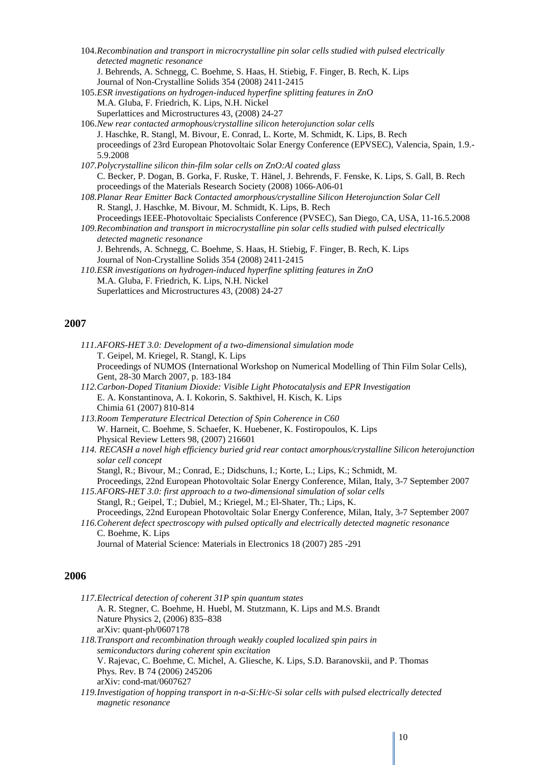- 104.*Recombination and transport in microcrystalline pin solar cells studied with pulsed electrically detected magnetic resonance* J. Behrends, A. Schnegg, C. Boehme, S. Haas, H. Stiebig, F. Finger, B. Rech, K. Lips Journal of Non-Crystalline Solids 354 (2008) 2411-2415
- 105.*ESR investigations on hydrogen-induced hyperfine splitting features in ZnO* M.A. Gluba, F. Friedrich, K. Lips, N.H. Nickel Superlattices and Microstructures 43, (2008) 24-27
- 106.*New rear contacted armophous/crystalline silicon heterojunction solar cells* J. Haschke, R. Stangl, M. Bivour, E. Conrad, L. Korte, M. Schmidt, K. Lips, B. Rech proceedings of 23rd European Photovoltaic Solar Energy Conference (EPVSEC), Valencia, Spain, 1.9.- 5.9.2008
- *107.Polycrystalline silicon thin-film solar cells on ZnO:Al coated glass* C. Becker, P. Dogan, B. Gorka, F. Ruske, T. Hänel, J. Behrends, F. Fenske, K. Lips, S. Gall, B. Rech proceedings of the Materials Research Society (2008) 1066-A06-01
- *108.Planar Rear Emitter Back Contacted amorphous/crystalline Silicon Heterojunction Solar Cell* R. Stangl, J. Haschke, M. Bivour, M. Schmidt, K. Lips, B. Rech Proceedings IEEE-Photovoltaic Specialists Conference (PVSEC), San Diego, CA, USA, 11-16.5.2008
- *109.Recombination and transport in microcrystalline pin solar cells studied with pulsed electrically detected magnetic resonance*
	- J. Behrends, A. Schnegg, C. Boehme, S. Haas, H. Stiebig, F. Finger, B. Rech, K. Lips Journal of Non-Crystalline Solids 354 (2008) 2411-2415
- *110.ESR investigations on hydrogen-induced hyperfine splitting features in ZnO* M.A. Gluba, F. Friedrich, K. Lips, N.H. Nickel Superlattices and Microstructures 43, (2008) 24-27

- *111.AFORS-HET 3.0: Development of a two-dimensional simulation mode* T. Geipel, M. Kriegel, R. Stangl, K. Lips Proceedings of NUMOS (International Workshop on Numerical Modelling of Thin Film Solar Cells), Gent, 28-30 March 2007, p. 183-184
- *112.Carbon-Doped Titanium Dioxide: Visible Light Photocatalysis and EPR Investigation* E. A. Konstantinova, A. I. Kokorin, S. Sakthivel, H. Kisch, K. Lips Chimia 61 (2007) 810-814
- *113.Room Temperature Electrical Detection of Spin Coherence in C60* W. Harneit, C. Boehme, S. Schaefer, K. Huebener, K. Fostiropoulos, K. Lips Physical Review Letters 98, (2007) 216601
- *114. RECASH a novel high efficiency buried grid rear contact amorphous/crystalline Silicon heterojunction solar cell concept*
	- Stangl, R.; Bivour, M.; Conrad, E.; Didschuns, I.; Korte, L.; Lips, K.; Schmidt, M.
- Proceedings, 22nd European Photovoltaic Solar Energy Conference, Milan, Italy, 3-7 September 2007 *115.AFORS-HET 3.0: first approach to a two-dimensional simulation of solar cells*
- Stangl, R.; Geipel, T.; Dubiel, M.; Kriegel, M.; El-Shater, Th.; Lips, K. Proceedings, 22nd European Photovoltaic Solar Energy Conference, Milan, Italy, 3-7 September 2007 *116.Coherent defect spectroscopy with pulsed optically and electrically detected magnetic resonance*
- C. Boehme, K. Lips Journal of Material Science: Materials in Electronics 18 (2007) 285 -291

- *117.Electrical detection of coherent 31P spin quantum states* A. R. Stegner, C. Boehme, H. Huebl, M. Stutzmann, K. Lips and M.S. Brandt Nature Physics 2, (2006) 835–838 arXiv: quant-ph/0607178
- *118.Transport and recombination through weakly coupled localized spin pairs in semiconductors during coherent spin excitation* V. Rajevac, C. Boehme, C. Michel, A. Gliesche, K. Lips, S.D. Baranovskii, and P. Thomas Phys. Rev. B 74 (2006) 245206 arXiv: cond-mat/0607627
- *119.Investigation of hopping transport in n-a-Si:H/c-Si solar cells with pulsed electrically detected magnetic resonance*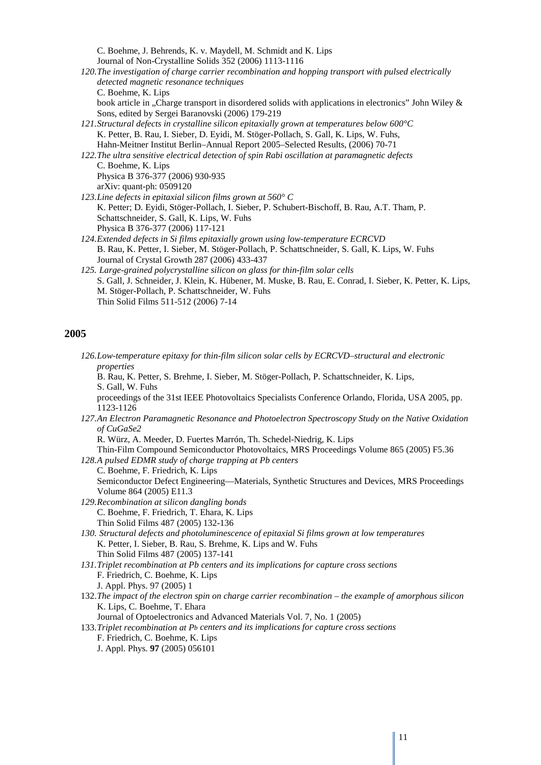C. Boehme, J. Behrends, K. v. Maydell, M. Schmidt and K. Lips Journal of Non-Crystalline Solids 352 (2006) 1113-1116 *120.The investigation of charge carrier recombination and hopping transport with pulsed electrically detected magnetic resonance techniques* C. Boehme, K. Lips book article in "Charge transport in disordered solids with applications in electronics" John Wiley & Sons, edited by Sergei Baranovski (2006) 179-219 *121.Structural defects in crystalline silicon epitaxially grown at temperatures below 600°C* K. Petter, B. Rau, I. Sieber, D. Eyidi, M. Stöger-Pollach, S. Gall, K. Lips, W. Fuhs, Hahn-Meitner Institut Berlin–Annual Report 2005–Selected Results, (2006) 70-71 *122.The ultra sensitive electrical detection of spin Rabi oscillation at paramagnetic defects* C. Boehme, K. Lips Physica B 376-377 (2006) 930-935 arXiv: quant-ph: 0509120 *123.Line defects in epitaxial silicon films grown at 560° C* K. Petter; D. Eyidi, Stöger-Pollach, I. Sieber, P. Schubert-Bischoff, B. Rau, A.T. Tham, P. Schattschneider, S. Gall, K. Lips, W. Fuhs Physica B 376-377 (2006) 117-121 *124.Extended defects in Si films epitaxially grown using low-temperature ECRCVD* B. Rau, K. Petter, I. Sieber, M. Stöger-Pollach, P. Schattschneider, S. Gall, K. Lips, W. Fuhs Journal of Crystal Growth 287 (2006) 433-437 *125. Large-grained polycrystalline silicon on glass for thin-film solar cells*

S. Gall, J. Schneider, J. Klein, K. Hübener, M. Muske, B. Rau, E. Conrad, I. Sieber, K. Petter, K. Lips, M. Stöger-Pollach, P. Schattschneider, W. Fuhs Thin Solid Films 511-512 (2006) 7-14

### **2005**

*126.Low-temperature epitaxy for thin-film silicon solar cells by ECRCVD–structural and electronic properties*

B. Rau, K. Petter, S. Brehme, I. Sieber, M. Stöger-Pollach, P. Schattschneider, K. Lips, S. Gall, W. Fuhs

proceedings of the 31st IEEE Photovoltaics Specialists Conference Orlando, Florida, USA 2005, pp. 1123-1126

*127.An Electron Paramagnetic Resonance and Photoelectron Spectroscopy Study on the Native Oxidation of CuGaSe2*

R. Würz, A. Meeder, D. Fuertes Marrón, Th. Schedel-Niedrig, K. Lips

- Thin-Film Compound Semiconductor Photovoltaics, MRS Proceedings Volume 865 (2005) F5.36 *128.A pulsed EDMR study of charge trapping at Pb centers*
- C. Boehme, F. Friedrich, K. Lips Semiconductor Defect Engineering—Materials, Synthetic Structures and Devices, MRS Proceedings Volume 864 (2005) E11.3 *129.Recombination at silicon dangling bonds*
- C. Boehme, F. Friedrich, T. Ehara, K. Lips Thin Solid Films 487 (2005) 132-136
- *130. Structural defects and photoluminescence of epitaxial Si films grown at low temperatures* K. Petter, I. Sieber, B. Rau, S. Brehme, K. Lips and W. Fuhs Thin Solid Films 487 (2005) 137-141
- *131.Triplet recombination at Pb centers and its implications for capture cross sections* F. Friedrich, C. Boehme, K. Lips
	- J. Appl. Phys. 97 (2005) 1
- 132.*The impact of the electron spin on charge carrier recombination – the example of amorphous silicon* K. Lips, C. Boehme, T. Ehara
	- Journal of Optoelectronics and Advanced Materials Vol. 7, No. 1 (2005)
- 133.*Triplet recombination at Pb centers and its implications for capture cross sections* F. Friedrich, C. Boehme, K. Lips
	- J. Appl. Phys. **97** (2005) 056101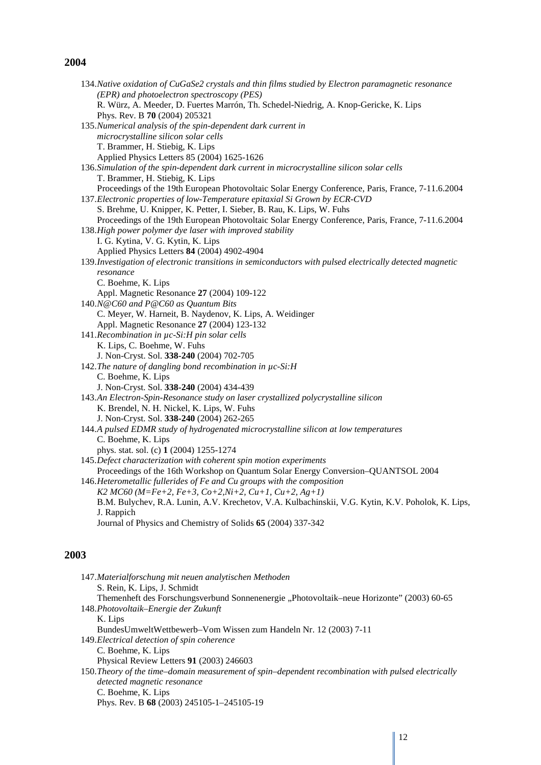|      | 134. Native oxidation of CuGaSe2 crystals and thin films studied by Electron paramagnetic resonance                   |
|------|-----------------------------------------------------------------------------------------------------------------------|
|      | (EPR) and photoelectron spectroscopy (PES)                                                                            |
|      | R. Würz, A. Meeder, D. Fuertes Marrón, Th. Schedel-Niedrig, A. Knop-Gericke, K. Lips<br>Phys. Rev. B 70 (2004) 205321 |
|      | 135. Numerical analysis of the spin-dependent dark current in                                                         |
|      | microcrystalline silicon solar cells                                                                                  |
|      | T. Brammer, H. Stiebig, K. Lips                                                                                       |
|      | Applied Physics Letters 85 (2004) 1625-1626                                                                           |
|      | 136. Simulation of the spin-dependent dark current in microcrystalline silicon solar cells                            |
|      | T. Brammer, H. Stiebig, K. Lips                                                                                       |
|      | Proceedings of the 19th European Photovoltaic Solar Energy Conference, Paris, France, 7-11.6.2004                     |
|      | 137. Electronic properties of low-Temperature epitaxial Si Grown by ECR-CVD                                           |
|      | S. Brehme, U. Knipper, K. Petter, I. Sieber, B. Rau, K. Lips, W. Fuhs                                                 |
|      | Proceedings of the 19th European Photovoltaic Solar Energy Conference, Paris, France, 7-11.6.2004                     |
|      | 138. High power polymer dye laser with improved stability                                                             |
|      | I. G. Kytina, V. G. Kytin, K. Lips                                                                                    |
|      | Applied Physics Letters 84 (2004) 4902-4904                                                                           |
|      | 139. Investigation of electronic transitions in semiconductors with pulsed electrically detected magnetic             |
|      | resonance                                                                                                             |
|      | C. Boehme, K. Lips                                                                                                    |
|      | Appl. Magnetic Resonance 27 (2004) 109-122                                                                            |
|      | 140.N@C60 and P@C60 as Quantum Bits                                                                                   |
|      | C. Meyer, W. Harneit, B. Naydenov, K. Lips, A. Weidinger                                                              |
|      | Appl. Magnetic Resonance 27 (2004) 123-132                                                                            |
|      | 141. Recombination in µc-Si: H pin solar cells                                                                        |
|      | K. Lips, C. Boehme, W. Fuhs                                                                                           |
|      | J. Non-Cryst. Sol. 338-240 (2004) 702-705                                                                             |
|      | 142. The nature of dangling bond recombination in µc-Si:H                                                             |
|      | C. Boehme, K. Lips                                                                                                    |
|      | J. Non-Cryst. Sol. 338-240 (2004) 434-439                                                                             |
|      | 143.An Electron-Spin-Resonance study on laser crystallized polycrystalline silicon                                    |
|      | K. Brendel, N. H. Nickel, K. Lips, W. Fuhs                                                                            |
|      | J. Non-Cryst. Sol. 338-240 (2004) 262-265                                                                             |
|      | 144.A pulsed EDMR study of hydrogenated microcrystalline silicon at low temperatures<br>C. Boehme, K. Lips            |
|      | phys. stat. sol. (c) 1 (2004) 1255-1274                                                                               |
|      | 145. Defect characterization with coherent spin motion experiments                                                    |
|      | Proceedings of the 16th Workshop on Quantum Solar Energy Conversion-QUANTSOL 2004                                     |
|      | 146. Heterometallic fullerides of Fe and Cu groups with the composition                                               |
|      | K2 MC60 (M=Fe+2, Fe+3, Co+2, Ni+2, Cu+1, Cu+2, Ag+1)                                                                  |
|      | B.M. Bulychev, R.A. Lunin, A.V. Krechetov, V.A. Kulbachinskii, V.G. Kytin, K.V. Poholok, K. Lips,                     |
|      | J. Rappich                                                                                                            |
|      | Journal of Physics and Chemistry of Solids 65 (2004) 337-342                                                          |
|      |                                                                                                                       |
|      |                                                                                                                       |
| 2003 |                                                                                                                       |
|      |                                                                                                                       |

| 147. Materialforschung mit neuen analytischen Methoden                                              |
|-----------------------------------------------------------------------------------------------------|
| S. Rein, K. Lips, J. Schmidt                                                                        |
| Themenheft des Forschungsverbund Sonnenenergie "Photovoltaik–neue Horizonte" (2003) 60-65           |
| 148. Photovoltaik-Energie der Zukunft                                                               |
| K. Lips                                                                                             |
| BundesUmweltWettbewerb-Vom Wissen zum Handeln Nr. 12 (2003) 7-11                                    |
| 149. Electrical detection of spin coherence                                                         |
| C. Boehme, K. Lips                                                                                  |
| Physical Review Letters 91 (2003) 246603                                                            |
| 150. Theory of the time-domain measurement of spin-dependent recombination with pulsed electrically |
| detected magnetic resonance                                                                         |
| C. Boehme, K. Lips                                                                                  |
| Phys. Rev. B 68 (2003) 245105-1-245105-19                                                           |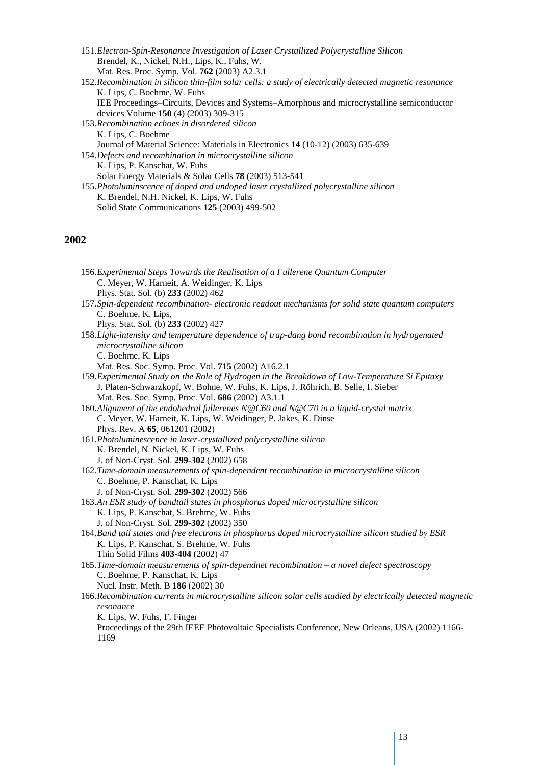- 151.*Electron-Spin-Resonance Investigation of Laser Crystallized Polycrystalline Silicon* Brendel, K., Nickel, N.H., Lips, K., Fuhs, W. Mat. Res. Proc. Symp. Vol. **762** (2003) A2.3.1
- 152.*Recombination in silicon thin-film solar cells: a study of electrically detected magnetic resonance* K. Lips, C. Boehme, W. Fuhs IEE Proceedings–Circuits, Devices and Systems–Amorphous and microcrystalline semiconductor devices Volume **150** (4) (2003) 309-315 153.*Recombination echoes in disordered silicon* K. Lips, C. Boehme
- Journal of Material Science: Materials in Electronics **14** (10-12) (2003) 635-639 154.*Defects and recombination in microcrystalline silicon* K. Lips, P. Kanschat, W. Fuhs Solar Energy Materials & Solar Cells **78** (2003) 513-541
- 155.*Photoluminscence of doped and undoped laser crystallized polycrystalline silicon* K. Brendel, N.H. Nickel, K. Lips, W. Fuhs Solid State Communications **125** (2003) 499-502

| 156. Experimental Steps Towards the Realisation of a Fullerene Quantum Computer<br>C. Meyer, W. Harneit, A. Weidinger, K. Lips |
|--------------------------------------------------------------------------------------------------------------------------------|
| Phys. Stat. Sol. (b) 233 (2002) 462                                                                                            |
| 157.Spin-dependent recombination-electronic readout mechanisms for solid state quantum computers                               |
| C. Boehme, K. Lips,                                                                                                            |
| Phys. Stat. Sol. (b) 233 (2002) 427                                                                                            |
| 158. Light-intensity and temperature dependence of trap-dang bond recombination in hydrogenated                                |
| microcrystalline silicon                                                                                                       |
| C. Boehme, K. Lips                                                                                                             |
| Mat. Res. Soc. Symp. Proc. Vol. 715 (2002) A16.2.1                                                                             |
| 159. Experimental Study on the Role of Hydrogen in the Breakdown of Low-Temperature Si Epitaxy                                 |
| J. Platen-Schwarzkopf, W. Bohne, W. Fuhs, K. Lips, J. Röhrich, B. Selle, I. Sieber                                             |
| Mat. Res. Soc. Symp. Proc. Vol. 686 (2002) A3.1.1                                                                              |
| 160. Alignment of the endohedral fullerenes N@C60 and N@C70 in a liquid-crystal matrix                                         |
| C. Meyer, W. Harneit, K. Lips, W. Weidinger, P. Jakes, K. Dinse                                                                |
| Phys. Rev. A 65, 061201 (2002)                                                                                                 |
| 161. Photoluminescence in laser-crystallized polycrystalline silicon                                                           |
| K. Brendel, N. Nickel, K. Lips, W. Fuhs                                                                                        |
| J. of Non-Cryst. Sol. 299-302 (2002) 658                                                                                       |
| 162. Time-domain measurements of spin-dependent recombination in microcrystalline silicon                                      |
| C. Boehme, P. Kanschat, K. Lips                                                                                                |
| J. of Non-Cryst. Sol. 299-302 (2002) 566                                                                                       |
| 163.An ESR study of bandtail states in phosphorus doped microcrystalline silicon                                               |
| K. Lips, P. Kanschat, S. Brehme, W. Fuhs                                                                                       |
| J. of Non-Cryst. Sol. 299-302 (2002) 350                                                                                       |
| 164. Band tail states and free electrons in phosphorus doped microcrystalline silicon studied by ESR                           |
| K. Lips, P. Kanschat, S. Brehme, W. Fuhs                                                                                       |
| Thin Solid Films 403-404 (2002) 47                                                                                             |
| 165. Time-domain measurements of spin-dependnet recombination – a novel defect spectroscopy                                    |
| C. Boehme, P. Kanschat, K. Lips                                                                                                |
| Nucl. Instr. Meth. B 186 (2002) 30                                                                                             |
| 166. Recombination currents in microcrystalline silicon solar cells studied by electrically detected magnetic                  |
| resonance                                                                                                                      |
| K. Lips, W. Fuhs, F. Finger                                                                                                    |
| Proceedings of the 29th IEEE Photovoltaic Specialists Conference, New Orleans, USA (2002) 1166-                                |
| 1169                                                                                                                           |
|                                                                                                                                |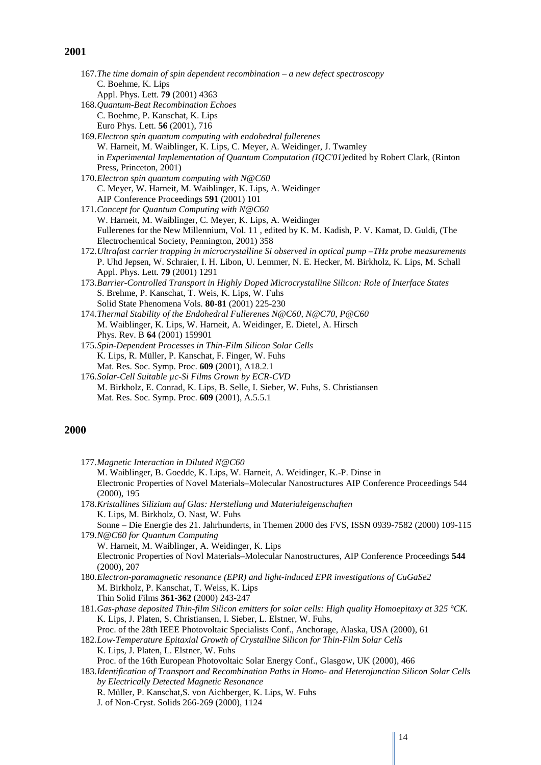| 167. The time domain of spin dependent recombination $-$ a new defect spectroscopy                      |  |
|---------------------------------------------------------------------------------------------------------|--|
| C. Boehme, K. Lips                                                                                      |  |
| Appl. Phys. Lett. 79 (2001) 4363                                                                        |  |
| 168. Quantum-Beat Recombination Echoes                                                                  |  |
| C. Boehme, P. Kanschat, K. Lips                                                                         |  |
| Euro Phys. Lett. 56 (2001), 716                                                                         |  |
| 169. Electron spin quantum computing with endohedral fullerenes                                         |  |
| W. Harneit, M. Waiblinger, K. Lips, C. Meyer, A. Weidinger, J. Twamley                                  |  |
| in Experimental Implementation of Quantum Computation (IQC'01) edited by Robert Clark, (Rinton          |  |
| Press, Princeton, 2001)                                                                                 |  |
| 170. Electron spin quantum computing with N@C60                                                         |  |
| C. Meyer, W. Harneit, M. Waiblinger, K. Lips, A. Weidinger                                              |  |
| AIP Conference Proceedings 591 (2001) 101                                                               |  |
| 171. Concept for Quantum Computing with N@C60                                                           |  |
| W. Harneit, M. Waiblinger, C. Meyer, K. Lips, A. Weidinger                                              |  |
| Fullerenes for the New Millennium, Vol. 11, edited by K. M. Kadish, P. V. Kamat, D. Guldi, (The         |  |
| Electrochemical Society, Pennington, 2001) 358                                                          |  |
| 172. Ultrafast carrier trapping in microcrystalline Si observed in optical pump -THz probe measurements |  |
| P. Uhd Jepsen, W. Schraier, I. H. Libon, U. Lemmer, N. E. Hecker, M. Birkholz, K. Lips, M. Schall       |  |
| Appl. Phys. Lett. 79 (2001) 1291                                                                        |  |
| 173. Barrier-Controlled Transport in Highly Doped Microcrystalline Silicon: Role of Interface States    |  |
| S. Brehme, P. Kanschat, T. Weis, K. Lips, W. Fuhs                                                       |  |
| Solid State Phenomena Vols. 80-81 (2001) 225-230                                                        |  |
| 174. Thermal Stability of the Endohedral Fullerenes N@C60, N@C70, P@C60                                 |  |
| M. Waiblinger, K. Lips, W. Harneit, A. Weidinger, E. Dietel, A. Hirsch                                  |  |
| Phys. Rev. B 64 (2001) 159901                                                                           |  |
| 175. Spin-Dependent Processes in Thin-Film Silicon Solar Cells                                          |  |
| K. Lips, R. Müller, P. Kanschat, F. Finger, W. Fuhs                                                     |  |
| Mat. Res. Soc. Symp. Proc. 609 (2001), A18.2.1                                                          |  |
| 176. Solar-Cell Suitable µc-Si Films Grown by ECR-CVD                                                   |  |
| M. Birkholz, E. Conrad, K. Lips, B. Selle, I. Sieber, W. Fuhs, S. Christiansen                          |  |
| Mat. Res. Soc. Symp. Proc. 609 (2001), A.5.5.1                                                          |  |
|                                                                                                         |  |

### **2000**

| 177. Magnetic Interaction in Diluted $N@C60$                                                              |
|-----------------------------------------------------------------------------------------------------------|
| M. Waiblinger, B. Goedde, K. Lips, W. Harneit, A. Weidinger, K.-P. Dinse in                               |
| Electronic Properties of Novel Materials–Molecular Nanostructures AIP Conference Proceedings 544          |
| (2000), 195                                                                                               |
| 178. Kristallines Silizium auf Glas: Herstellung und Materialeigenschaften                                |
| K. Lips, M. Birkholz, O. Nast, W. Fuhs                                                                    |
| Sonne – Die Energie des 21. Jahrhunderts, in Themen 2000 des FVS, ISSN 0939-7582 (2000) 109-115           |
| 179.N@C60 for Quantum Computing                                                                           |
| W. Harneit, M. Waiblinger, A. Weidinger, K. Lips                                                          |
| Electronic Properties of Novl Materials-Molecular Nanostructures, AIP Conference Proceedings 544          |
| (2000), 207                                                                                               |
| 180. Electron-paramagnetic resonance (EPR) and light-induced EPR investigations of CuGaSe2                |
| M. Birkholz, P. Kanschat, T. Weiss, K. Lips                                                               |
| Thin Solid Films 361-362 (2000) 243-247                                                                   |
| 181. Gas-phase deposited Thin-film Silicon emitters for solar cells: High quality Homoepitaxy at 325 °CK. |
| K. Lips, J. Platen, S. Christiansen, I. Sieber, L. Elstner, W. Fuhs,                                      |
| Proc. of the 28th IEEE Photovoltaic Specialists Conf., Anchorage, Alaska, USA (2000), 61                  |
| 182.Low-Temperature Epitaxial Growth of Crystalline Silicon for Thin-Film Solar Cells                     |
| K. Lips, J. Platen, L. Elstner, W. Fuhs                                                                   |
| Proc. of the 16th European Photovoltaic Solar Energy Conf., Glasgow, UK (2000), 466                       |
| 183. Identification of Transport and Recombination Paths in Homo- and Heterojunction Silicon Solar Cells  |
| by Electrically Detected Magnetic Resonance                                                               |
| R. Müller, P. Kanschat, S. von Aichberger, K. Lips, W. Fuhs                                               |
| J. of Non-Cryst. Solids 266-269 (2000), 1124                                                              |
|                                                                                                           |

I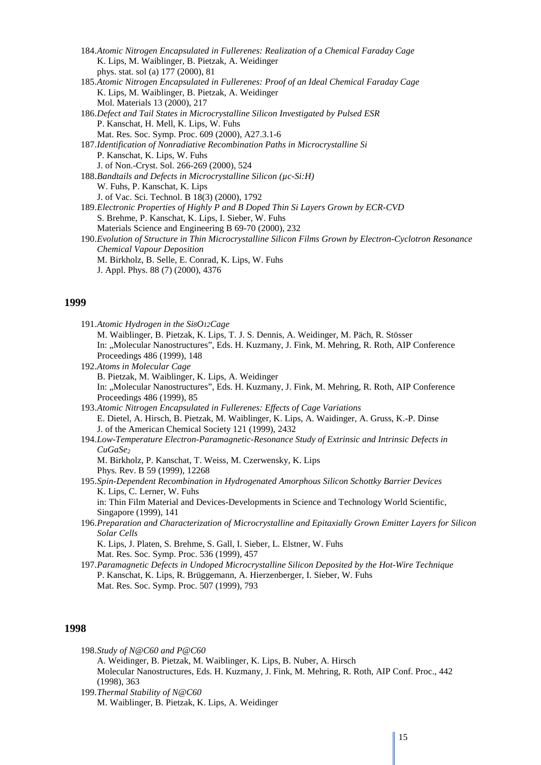| 184. Atomic Nitrogen Encapsulated in Fullerenes: Realization of a Chemical Faraday Cage                  |
|----------------------------------------------------------------------------------------------------------|
| K. Lips, M. Waiblinger, B. Pietzak, A. Weidinger                                                         |
| phys. stat. sol (a) 177 (2000), 81                                                                       |
| 185.Atomic Nitrogen Encapsulated in Fullerenes: Proof of an Ideal Chemical Faraday Cage                  |
| K. Lips, M. Waiblinger, B. Pietzak, A. Weidinger                                                         |
| Mol. Materials 13 (2000), 217                                                                            |
| 186. Defect and Tail States in Microcrystalline Silicon Investigated by Pulsed ESR                       |
| P. Kanschat, H. Mell, K. Lips, W. Fuhs                                                                   |
| Mat. Res. Soc. Symp. Proc. 609 (2000), A27.3.1-6                                                         |
| 187. Identification of Nonradiative Recombination Paths in Microcrystalline Si                           |
| P. Kanschat, K. Lips, W. Fuhs                                                                            |
| J. of Non.-Cryst. Sol. 266-269 (2000), 524                                                               |
| 188. Bandtails and Defects in Microcrystalline Silicon ( $\mu$ c-Si:H)                                   |
| W. Fuhs, P. Kanschat, K. Lips                                                                            |
| J. of Vac. Sci. Technol. B 18(3) (2000), 1792                                                            |
| 189. Electronic Properties of Highly P and B Doped Thin Si Layers Grown by ECR-CVD                       |
| S. Brehme, P. Kanschat, K. Lips, I. Sieber, W. Fuhs                                                      |
| Materials Science and Engineering B 69-70 (2000), 232                                                    |
| 190. Evolution of Structure in Thin Microcrystalline Silicon Films Grown by Electron-Cyclotron Resonance |
| <b>Chemical Vapour Deposition</b>                                                                        |
| M. Birkholz, B. Selle, E. Conrad, K. Lips, W. Fuhs                                                       |
| J. Appl. Phys. 88 (7) (2000), 4376                                                                       |

### **1998**

|        | 198. Study of N@C60 and P@C60                                                                                                                                                                                                                                                                                                                                                         |
|--------|---------------------------------------------------------------------------------------------------------------------------------------------------------------------------------------------------------------------------------------------------------------------------------------------------------------------------------------------------------------------------------------|
|        | A. Weidinger, B. Pietzak, M. Waiblinger, K. Lips, B. Nuber, A. Hirsch                                                                                                                                                                                                                                                                                                                 |
|        | Molecular Nanostructures, Eds. H. Kuzmany, J. Fink, M. Mehring, R. Roth, AIP Conf. Proc., 442                                                                                                                                                                                                                                                                                         |
|        | (1998), 363                                                                                                                                                                                                                                                                                                                                                                           |
| 100.77 | $\overline{1}$ $\overline{0}$ , $\overline{1}$ $\overline{1}$ $\overline{1}$ $\overline{1}$ $\overline{1}$ $\overline{1}$ $\overline{1}$ $\overline{1}$ $\overline{1}$ $\overline{1}$ $\overline{1}$ $\overline{1}$ $\overline{1}$ $\overline{1}$ $\overline{1}$ $\overline{1}$ $\overline{1}$ $\overline{1}$ $\overline{1}$ $\overline{1}$ $\overline{1}$ $\overline{1}$ $\overline$ |

199.*Thermal Stability of N@C60* M. Waiblinger, B. Pietzak, K. Lips, A. Weidinger

I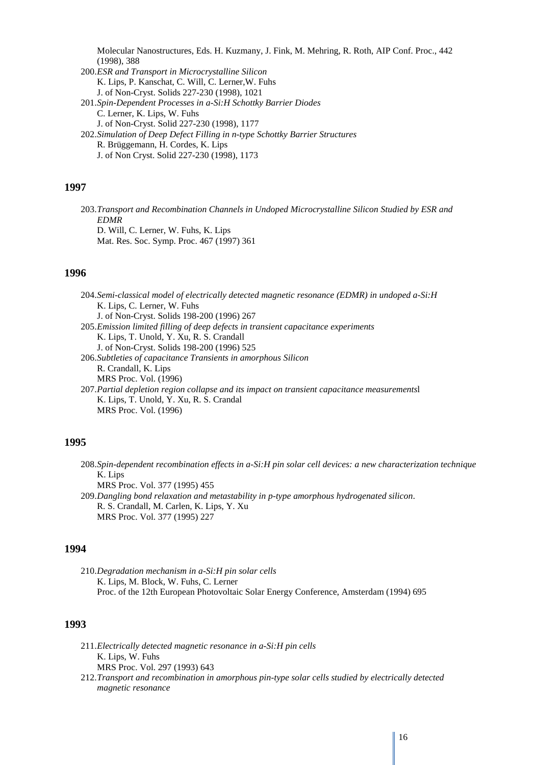Molecular Nanostructures, Eds. H. Kuzmany, J. Fink, M. Mehring, R. Roth, AIP Conf. Proc., 442 (1998), 388

200.*ESR and Transport in Microcrystalline Silicon* K. Lips, P. Kanschat, C. Will, C. Lerner,W. Fuhs J. of Non-Cryst. Solids 227-230 (1998), 1021 201.*[Spin-Dependent Processes in a-Si:H Schottky Barrier Diodes](http://www.sciencedirect.com/science?_ob=ArticleURL&_udi=B6TXM-3V6XFHW-7N&_user=104225&_coverDate=05/31/1998&_rdoc=106&_fmt=summary&_orig=browse&_srch=#toc#5594#1998#997699999.7997#33592%21&_cdi=5594&_sort=d&_docanchor=&_acct=C000007498&_version=1&_urlVersion=0&_userid=104225&md5=9b1079215afac07ee714c8261f1c4634)* C. Lerner, K. Lips, W. Fuhs J. of Non-Cryst. Solid 227-230 (1998), 1177 202.*Simulation of Deep Defect Filling in n-type Schottky Barrier Structures* R. Brüggemann, H. Cordes, K. Lips J. of Non Cryst. Solid 227-230 (1998), 1173

### **1997**

203.*Transport and Recombination Channels in Undoped Microcrystalline Silicon Studied by ESR and EDMR* D. Will, C. Lerner, W. Fuhs, K. Lips Mat. Res. Soc. Symp. Proc. 467 (1997) 361

### **1996**

204.*Semi-classical model of electrically detected magnetic resonance (EDMR) in undoped a-Si:H* K. Lips, C. Lerner, W. Fuhs J. of Non-Cryst. Solids 198-200 (1996) 267 205.*Emission limited filling of deep defects in transient capacitance experiments* K. Lips, T. Unold, Y. Xu, R. S. Crandall J. of Non-Cryst. Solids 198-200 (1996) 525 206.*Subtleties of capacitance Transients in amorphous Silicon* R. Crandall, K. Lips MRS Proc. Vol. (1996) 207.*Partial depletion region collapse and its impact on transient capacitance measurements*l K. Lips, T. Unold, Y. Xu, R. S. Crandal MRS Proc. Vol. (1996)

### **1995**

208.*Spin-dependent recombination effects in a-Si:H pin solar cell devices: a new characterization technique* K. Lips MRS Proc. Vol. 377 (1995) 455 209.*Dangling bond relaxation and metastability in p-type amorphous hydrogenated silicon*. R. S. Crandall, M. Carlen, K. Lips, Y. Xu MRS Proc. Vol. 377 (1995) 227

#### **1994**

210.*Degradation mechanism in a-Si:H pin solar cells* K. Lips, M. Block, W. Fuhs, C. Lerner Proc. of the 12th European Photovoltaic Solar Energy Conference, Amsterdam (1994) 695

- 211.*Electrically detected magnetic resonance in a-Si:H pin cells* K. Lips, W. Fuhs MRS Proc. Vol. 297 (1993) 643
- 212.*Transport and recombination in amorphous pin-type solar cells studied by electrically detected magnetic resonance*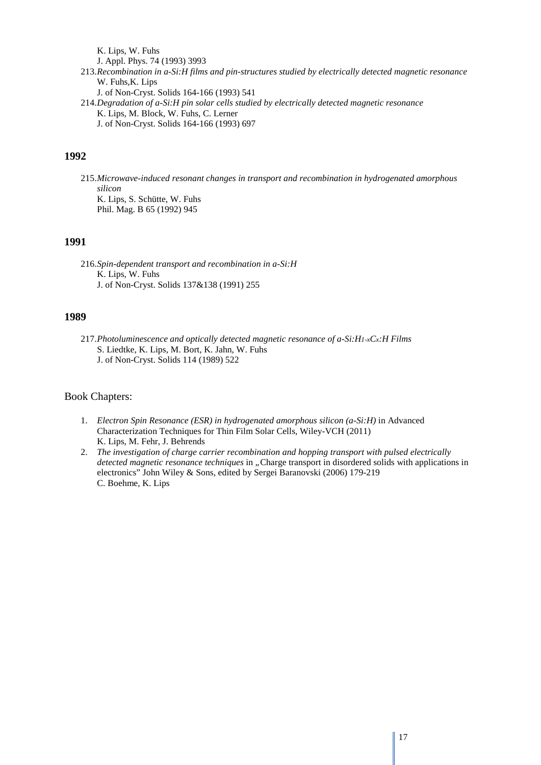K. Lips, W. Fuhs J. Appl. Phys. 74 (1993) 3993 213.*Recombination in a-Si:H films and pin-structures studied by electrically detected magnetic resonance* W. Fuhs, K. Lips J. of Non-Cryst. Solids 164-166 (1993) 541 214.*Degradation of a-Si:H pin solar cells studied by electrically detected magnetic resonance* K. Lips, M. Block, W. Fuhs, C. Lerner J. of Non-Cryst. Solids 164-166 (1993) 697

### **1992**

215.*Microwave-induced resonant changes in transport and recombination in hydrogenated amorphous silicon* K. Lips, S. Schütte, W. Fuhs Phil. Mag. B 65 (1992) 945

### **1991**

216.*Spin-dependent transport and recombination in a-Si:H* K. Lips, W. Fuhs J. of Non-Cryst. Solids 137&138 (1991) 255

### **1989**

217.*Photoluminescence and optically detected magnetic resonance of a-Si:H1-xCx:H Films* S. Liedtke, K. Lips, M. Bort, K. Jahn, W. Fuhs J. of Non-Cryst. Solids 114 (1989) 522

### Book Chapters:

- 1. *Electron Spin Resonance (ESR) in hydrogenated amorphous silicon (a-Si:H)* in Advanced Characterization Techniques for Thin Film Solar Cells, Wiley-VCH (2011) K. Lips, M. Fehr, J. Behrends
- 2. *The investigation of charge carrier recombination and hopping transport with pulsed electrically detected magnetic resonance techniques* in "Charge transport in disordered solids with applications in electronics" John Wiley & Sons, edited by Sergei Baranovski (2006) 179-219 C. Boehme, K. Lips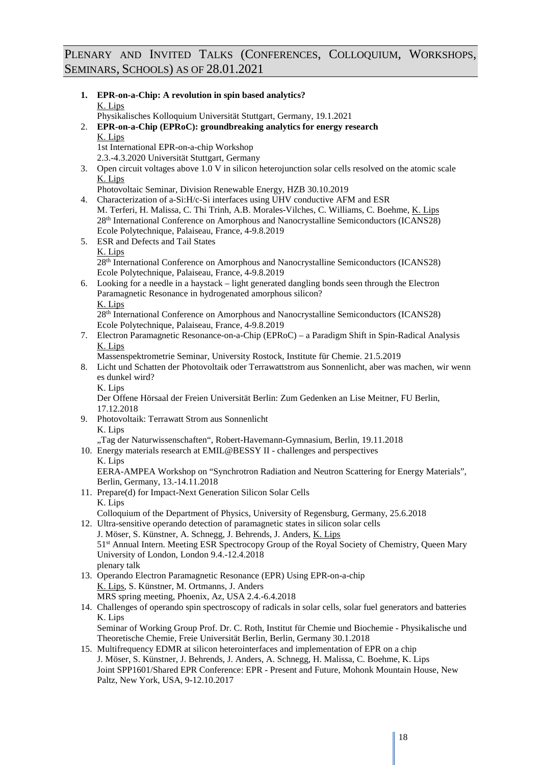### PLENARY AND INVITED TALKS (CONFERENCES, COLLOQUIUM, WORKSHOPS, SEMINARS, SCHOOLS) AS OF 28.01.2021

|    | 1. EPR-on-a-Chip: A revolution in spin based analytics?<br>K. Lips                                                             |
|----|--------------------------------------------------------------------------------------------------------------------------------|
|    | Physikalisches Kolloquium Universität Stuttgart, Germany, 19.1.2021                                                            |
| 2. | EPR-on-a-Chip (EPRoC): groundbreaking analytics for energy research<br>K. Lips                                                 |
|    | 1st International EPR-on-a-chip Workshop                                                                                       |
|    | 2.3.-4.3.2020 Universität Stuttgart, Germany                                                                                   |
| 3. | Open circuit voltages above 1.0 V in silicon heterojunction solar cells resolved on the atomic scale                           |
|    | K. Lips                                                                                                                        |
|    | Photovoltaic Seminar, Division Renewable Energy, HZB 30.10.2019                                                                |
|    | 4. Characterization of a-Si:H/c-Si interfaces using UHV conductive AFM and ESR                                                 |
|    | M. Terferi, H. Malissa, C. Thi Trinh, A.B. Morales-Vilches, C. Williams, C. Boehme, K. Lips                                    |
|    | 28th International Conference on Amorphous and Nanocrystalline Semiconductors (ICANS28)                                        |
|    | Ecole Polytechnique, Palaiseau, France, 4-9.8.2019                                                                             |
|    | 5. ESR and Defects and Tail States<br>K. Lips                                                                                  |
|    | 28 <sup>th</sup> International Conference on Amorphous and Nanocrystalline Semiconductors (ICANS28)                            |
|    | Ecole Polytechnique, Palaiseau, France, 4-9.8.2019                                                                             |
|    | 6. Looking for a needle in a haystack - light generated dangling bonds seen through the Electron                               |
|    | Paramagnetic Resonance in hydrogenated amorphous silicon?                                                                      |
|    | K. Lips                                                                                                                        |
|    | 28 <sup>th</sup> International Conference on Amorphous and Nanocrystalline Semiconductors (ICANS28)                            |
|    | Ecole Polytechnique, Palaiseau, France, 4-9.8.2019                                                                             |
|    | 7. Electron Paramagnetic Resonance-on-a-Chip (EPRoC) – a Paradigm Shift in Spin-Radical Analysis                               |
|    | K. Lips                                                                                                                        |
|    | Massenspektrometrie Seminar, University Rostock, Institute für Chemie. 21.5.2019                                               |
|    | 8. Licht und Schatten der Photovoltaik oder Terrawattstrom aus Sonnenlicht, aber was machen, wir wenn<br>es dunkel wird?       |
|    | K. Lips                                                                                                                        |
|    | Der Offene Hörsaal der Freien Universität Berlin: Zum Gedenken an Lise Meitner, FU Berlin,                                     |
|    | 17.12.2018                                                                                                                     |
|    | 9. Photovoltaik: Terrawatt Strom aus Sonnenlicht                                                                               |
|    | K. Lips                                                                                                                        |
|    | "Tag der Naturwissenschaften", Robert-Havemann-Gymnasium, Berlin, 19.11.2018                                                   |
|    | 10. Energy materials research at EMIL@BESSY II - challenges and perspectives                                                   |
|    | K. Lips                                                                                                                        |
|    | EERA-AMPEA Workshop on "Synchrotron Radiation and Neutron Scattering for Energy Materials",<br>Berlin, Germany, 13.-14.11.2018 |
|    | 11. Prepare(d) for Impact-Next Generation Silicon Solar Cells                                                                  |
|    | K. Lips                                                                                                                        |
|    | Colloquium of the Department of Physics, University of Regensburg, Germany, 25.6.2018                                          |
|    | 12. Ultra-sensitive operando detection of paramagnetic states in silicon solar cells                                           |
|    | J. Möser, S. Künstner, A. Schnegg, J. Behrends, J. Anders, K. Lips                                                             |
|    | 51st Annual Intern. Meeting ESR Spectrocopy Group of the Royal Society of Chemistry, Queen Mary                                |
|    | University of London, London 9.4.-12.4.2018                                                                                    |
|    | plenary talk                                                                                                                   |
|    | 13. Operando Electron Paramagnetic Resonance (EPR) Using EPR-on-a-chip                                                         |
|    | K. Lips, S. Künstner, M. Ortmanns, J. Anders                                                                                   |
|    | MRS spring meeting, Phoenix, Az, USA 2.4.-6.4.2018                                                                             |
|    | 14. Challenges of operando spin spectroscopy of radicals in solar cells, solar fuel generators and batteries<br>K. Lips        |
|    | Seminar of Working Group Prof. Dr. C. Roth, Institut für Chemie und Biochemie - Physikalische und                              |
|    | Theoretische Chemie, Freie Universität Berlin, Berlin, Germany 30.1.2018                                                       |
|    | 15. Multifrequency EDMR at silicon heterointerfaces and implementation of EPR on a chip                                        |
|    | J. Möser, S. Künstner, J. Behrends, J. Anders, A. Schnegg, H. Malissa, C. Boehme, K. Lips                                      |
|    | Joint SPP1601/Shared EPR Conference: EPR - Present and Future, Mohonk Mountain House, New                                      |
|    | Paltz, New York, USA, 9-12.10.2017                                                                                             |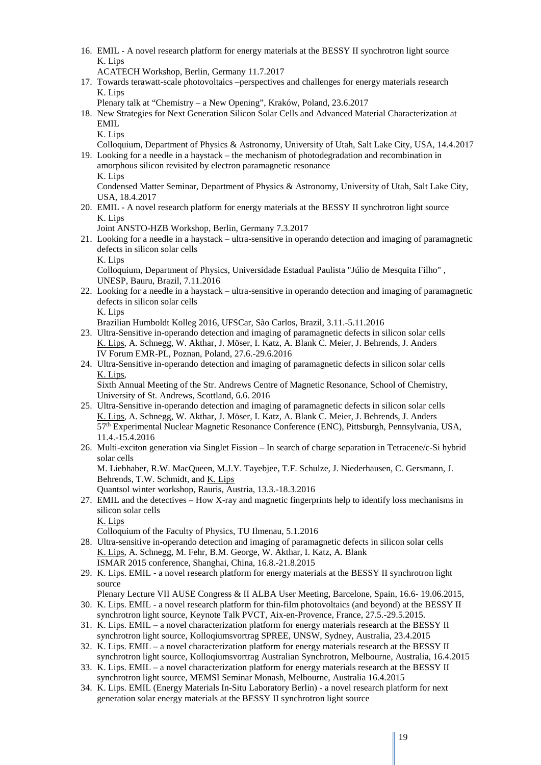16. EMIL - A novel research platform for energy materials at the BESSY II synchrotron light source K. Lips

ACATECH Workshop, Berlin, Germany 11.7.2017

17. Towards terawatt-scale photovoltaics –perspectives and challenges for energy materials research K. Lips

Plenary talk at "Chemistry – a New Opening", Kraków, Poland, 23.6.2017

- 18. New Strategies for Next Generation Silicon Solar Cells and Advanced Material Characterization at EMIL
	- K. Lips

Colloquium, Department of Physics & Astronomy, University of Utah, Salt Lake City, USA, 14.4.2017 19. Looking for a needle in a haystack – the mechanism of photodegradation and recombination in

amorphous silicon revisited by electron paramagnetic resonance K. Lips

Condensed Matter Seminar, Department of Physics & Astronomy, University of Utah, Salt Lake City, USA, 18.4.2017

20. EMIL - A novel research platform for energy materials at the BESSY II synchrotron light source K. Lips

Joint ANSTO-HZB Workshop, Berlin, Germany 7.3.2017

- 21. Looking for a needle in a haystack ultra-sensitive in operando detection and imaging of paramagnetic defects in silicon solar cells
	- K. Lips

Colloquium, Department of Physics, Universidade Estadual Paulista "Júlio de Mesquita Filho" , UNESP, Bauru, Brazil, 7.11.2016

22. Looking for a needle in a haystack – ultra-sensitive in operando detection and imaging of paramagnetic defects in silicon solar cells

K. Lips

Brazilian Humboldt Kolleg 2016, UFSCar, São Carlos, Brazil, 3.11.-5.11.2016

- 23. Ultra-Sensitive in-operando detection and imaging of paramagnetic defects in silicon solar cells K. Lips, A. Schnegg, W. Akthar, J. Möser, I. Katz, A. Blank C. Meier, J. Behrends, J. Anders IV Forum EMR-PL, Poznan, Poland, 27.6.-29.6.2016
- 24. Ultra-Sensitive in-operando detection and imaging of paramagnetic defects in silicon solar cells K. Lips,

Sixth Annual Meeting of the Str. Andrews Centre of Magnetic Resonance, School of Chemistry, University of St. Andrews, Scottland, 6.6. 2016

- 25. Ultra-Sensitive in-operando detection and imaging of paramagnetic defects in silicon solar cells K. Lips, A. Schnegg, W. Akthar, J. Möser, I. Katz, A. Blank C. Meier, J. Behrends, J. Anders 57th Experimental Nuclear Magnetic Resonance Conference (ENC), Pittsburgh, Pennsylvania, USA, 11.4.-15.4.2016
- 26. Multi-exciton generation via Singlet Fission In search of charge separation in Tetracene/c-Si hybrid solar cells M. Liebhaber, R.W. MacQueen, M.J.Y. Tayebjee, T.F. Schulze, J. Niederhausen, C. Gersmann, J. Behrends, T.W. Schmidt, and K. Lips

Quantsol winter workshop, Rauris, Austria, 13.3.-18.3.2016

27. EMIL and the detectives – How X-ray and magnetic fingerprints help to identify loss mechanisms in silicon solar cells

K. Lips

Colloquium of the Faculty of Physics, TU Ilmenau, 5.1.2016

- 28. Ultra-sensitive in-operando detection and imaging of paramagnetic defects in silicon solar cells K. Lips, A. Schnegg, M. Fehr, B.M. George, W. Akthar, I. Katz, A. Blank ISMAR 2015 conference, Shanghai, China, 16.8.-21.8.2015
- 29. K. Lips. EMIL a novel research platform for energy materials at the BESSY II synchrotron light source

Plenary Lecture VII AUSE Congress & II ALBA User Meeting, Barcelone, Spain, 16.6- 19.06.2015, 30. K. Lips. EMIL - a novel research platform for thin-film photovoltaics (and beyond) at the BESSY II

- synchrotron light source, Keynote Talk PVCT, Aix-en-Provence, France, 27.5.-29.5.2015.
- 31. K. Lips. EMIL a novel characterization platform for energy materials research at the BESSY II synchrotron light source, Kolloqiumsvortrag SPREE, UNSW, Sydney, Australia, 23.4.2015
- 32. K. Lips. EMIL a novel characterization platform for energy materials research at the BESSY II synchrotron light source, Kolloqiumsvortrag Australian Synchrotron, Melbourne, Australia, 16.4.2015
- 33. K. Lips. EMIL a novel characterization platform for energy materials research at the BESSY II synchrotron light source, MEMSI Seminar Monash, Melbourne, Australia 16.4.2015
- 34. K. Lips. EMIL (Energy Materials In-Situ Laboratory Berlin) a novel research platform for next generation solar energy materials at the BESSY II synchrotron light source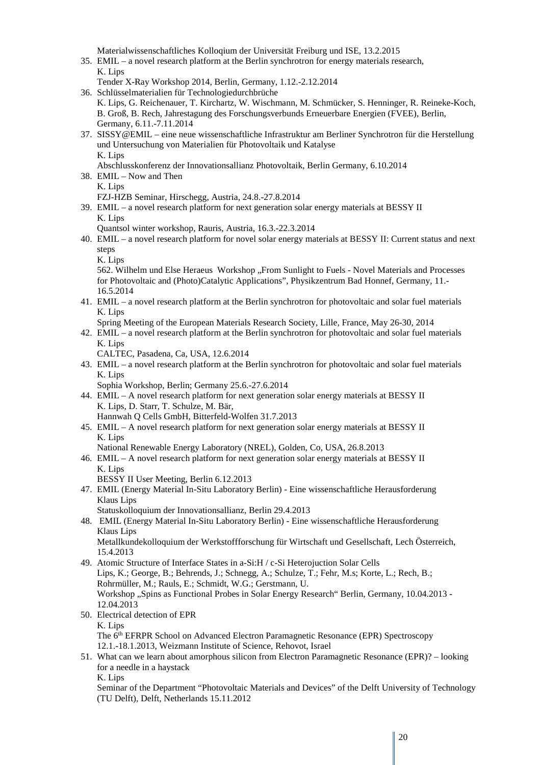Materialwissenschaftliches Kolloqium der Universität Freiburg und ISE, 13.2.2015

- 35. EMIL a novel research platform at the Berlin synchrotron for energy materials research, K. Lips
	- Tender X-Ray Workshop 2014, Berlin, Germany, 1.12.-2.12.2014
- 36. Schlüsselmaterialien für Technologiedurchbrüche K. Lips, G. Reichenauer, T. Kirchartz, W. Wischmann, M. Schmücker, S. Henninger, R. Reineke-Koch, B. Groß, B. Rech, Jahrestagung des Forschungsverbunds Erneuerbare Energien (FVEE), Berlin, Germany, 6.11.-7.11.2014
- 37. SISSY@EMIL eine neue wissenschaftliche Infrastruktur am Berliner Synchrotron für die Herstellung und Untersuchung von Materialien für Photovoltaik und Katalyse K. Lips
	- Abschlusskonferenz der Innovationsallianz Photovoltaik, Berlin Germany, 6.10.2014
- 38. EMIL Now and Then K. Lips
	- FZJ-HZB Seminar, Hirschegg, Austria, 24.8.-27.8.2014
- 39. EMIL a novel research platform for next generation solar energy materials at BESSY II K. Lips
	- Quantsol winter workshop, Rauris, Austria, 16.3.-22.3.2014
- 40. EMIL a novel research platform for novel solar energy materials at BESSY II: Current status and next steps
	- K. Lips

562. Wilhelm und Else Heraeus Workshop "From Sunlight to Fuels - Novel Materials and Processes for Photovoltaic and (Photo)Catalytic Applications", Physikzentrum Bad Honnef, Germany, 11.- 16.5.2014

- 41. EMIL a novel research platform at the Berlin synchrotron for photovoltaic and solar fuel materials K. Lips
	- Spring Meeting of the European Materials Research Society, Lille, France, May 26-30, 2014
- 42. EMIL a novel research platform at the Berlin synchrotron for photovoltaic and solar fuel materials K. Lips
	- CALTEC, Pasadena, Ca, USA, 12.6.2014
- 43. EMIL a novel research platform at the Berlin synchrotron for photovoltaic and solar fuel materials K. Lips
	- Sophia Workshop, Berlin; Germany 25.6.-27.6.2014
- 44. EMIL A novel research platform for next generation solar energy materials at BESSY II K. Lips, D. Starr, T. Schulze, M. Bär,
	- Hannwah Q Cells GmbH, Bitterfeld-Wolfen 31.7.2013
- 45. EMIL A novel research platform for next generation solar energy materials at BESSY II K. Lips
	- National Renewable Energy Laboratory (NREL), Golden, Co, USA, 26.8.2013
- 46. EMIL A novel research platform for next generation solar energy materials at BESSY II K. Lips
	- BESSY II User Meeting, Berlin 6.12.2013
- 47. EMIL (Energy Material In-Situ Laboratory Berlin) Eine wissenschaftliche Herausforderung Klaus Lips
	- Statuskolloquium der Innovationsallianz, Berlin 29.4.2013
- 48. EMIL (Energy Material In-Situ Laboratory Berlin) Eine wissenschaftliche Herausforderung Klaus Lips

Metallkundekolloquium der Werkstoffforschung für Wirtschaft und Gesellschaft, Lech Österreich, 15.4.2013

- 49. Atomic Structure of Interface States in a-Si:H / c-Si Heterojuction Solar Cells Lips, K.; George, B.; Behrends, J.; Schnegg, A.; Schulze, T.; Fehr, M.s; Korte, L.; Rech, B.; Rohrmüller, M.; Rauls, E.; Schmidt, W.G.; Gerstmann, U. Workshop "Spins as Functional Probes in Solar Energy Research" Berlin, Germany, 10.04.2013 -12.04.2013
- 50. Electrical detection of EPR K. Lips The 6<sup>th</sup> EFRPR School on Advanced Electron Paramagnetic Resonance (EPR) Spectroscopy 12.1.-18.1.2013, Weizmann Institute of Science, Rehovot, Israel
- 51. What can we learn about amorphous silicon from Electron Paramagnetic Resonance (EPR)? looking for a needle in a haystack

K. Lips

Seminar of the Department "Photovoltaic Materials and Devices" of the Delft University of Technology (TU Delft), Delft, Netherlands 15.11.2012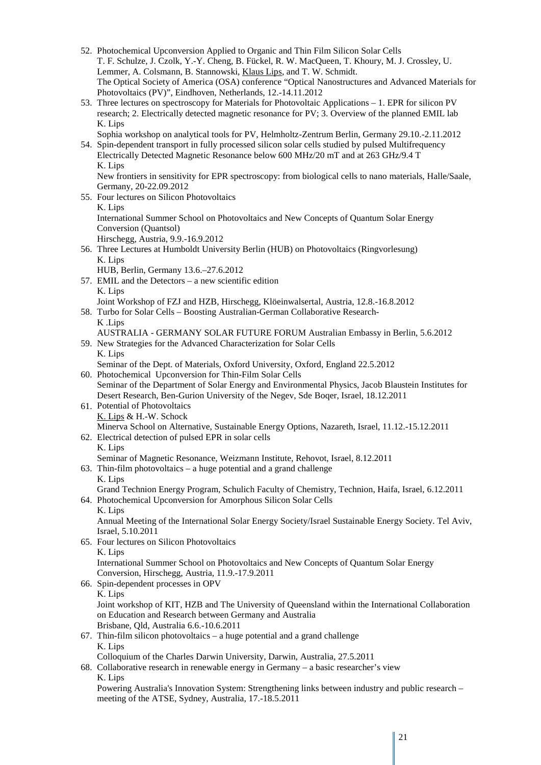- 52. Photochemical Upconversion Applied to Organic and Thin Film Silicon Solar Cells T. F. Schulze, J. Czolk, Y.-Y. Cheng, B. Fückel, R. W. MacQueen, T. Khoury, M. J. Crossley, U. Lemmer, A. Colsmann, B. Stannowski, Klaus Lips, and T. W. Schmidt. The Optical Society of America (OSA) conference "Optical Nanostructures and Advanced Materials for Photovoltaics (PV)", Eindhoven, Netherlands, 12.-14.11.2012
- 53. Three lectures on spectroscopy for Materials for Photovoltaic Applications 1. EPR for silicon PV research; 2. Electrically detected magnetic resonance for PV; 3. Overview of the planned EMIL lab K. Lips

Sophia workshop on analytical tools for PV, Helmholtz-Zentrum Berlin, Germany 29.10.-2.11.2012

54. Spin-dependent transport in fully processed silicon solar cells studied by pulsed Multifrequency Electrically Detected Magnetic Resonance below 600 MHz/20 mT and at 263 GHz/9.4 T K. Lips

New frontiers in sensitivity for EPR spectroscopy: from biological cells to nano materials, Halle/Saale, Germany, 20-22.09.2012

- 55. Four lectures on Silicon Photovoltaics K. Lips International Summer School on Photovoltaics and New Concepts of Quantum Solar Energy Conversion (Quantsol) Hirschegg, Austria, 9.9.-16.9.2012
- 56. Three Lectures at Humboldt University Berlin (HUB) on Photovoltaics (Ringvorlesung) K. Lips
- HUB, Berlin, Germany 13.6.–27.6.2012
- 57. EMIL and the Detectors a new scientific edition K. Lips

Joint Workshop of FZJ and HZB, Hirschegg, Klöeinwalsertal, Austria, 12.8.-16.8.2012

58. Turbo for Solar Cells – Boosting Australian-German Collaborative Research-K .Lips

AUSTRALIA - GERMANY SOLAR FUTURE FORUM Australian Embassy in Berlin, 5.6.2012

- 59. New Strategies for the Advanced Characterization for Solar Cells K. Lips
	- Seminar of the Dept. of Materials, Oxford University, Oxford, England 22.5.2012
- 60. Photochemical Upconversion for Thin-Film Solar Cells Seminar of the Department of Solar Energy and Environmental Physics, Jacob Blaustein Institutes for Desert Research, Ben-Gurion University of the Negev, Sde Boqer, Israel, 18.12.2011
- 61. Potential of Photovoltaics K. Lips & H.-W. Schock Minerva School on Alternative, Sustainable Energy Options, Nazareth, Israel, 11.12.-15.12.2011
- 62. Electrical detection of pulsed EPR in solar cells
	- K. Lips

Seminar of Magnetic Resonance, Weizmann Institute, Rehovot, Israel, 8.12.2011

63. Thin-film photovoltaics – a huge potential and a grand challenge K. Lips

Grand Technion Energy Program, Schulich Faculty of Chemistry, Technion, Haifa, Israel, 6.12.2011

64. Photochemical Upconversion for Amorphous Silicon Solar Cells K. Lips

Annual Meeting of the International Solar Energy Society/Israel Sustainable Energy Society. Tel Aviv, Israel, 5.10.2011

- 65. Four lectures on Silicon Photovoltaics K. Lips International Summer School on Photovoltaics and New Concepts of Quantum Solar Energy Conversion, Hirschegg, Austria, 11.9.-17.9.2011
- 66. Spin-dependent processes in OPV K. Lips

Joint workshop of KIT, HZB and The University of Queensland within the International Collaboration on Education and Research between Germany and Australia Brisbane, Qld, Australia 6.6.-10.6.2011

67. Thin-film silicon photovoltaics – a huge potential and a grand challenge K. Lips

Colloquium of the Charles Darwin University, Darwin, Australia, 27.5.2011

68. Collaborative research in renewable energy in Germany – a basic researcher's view K. Lips

Powering Australia's Innovation System: Strengthening links between industry and public research – meeting of the ATSE, Sydney, Australia, 17.-18.5.2011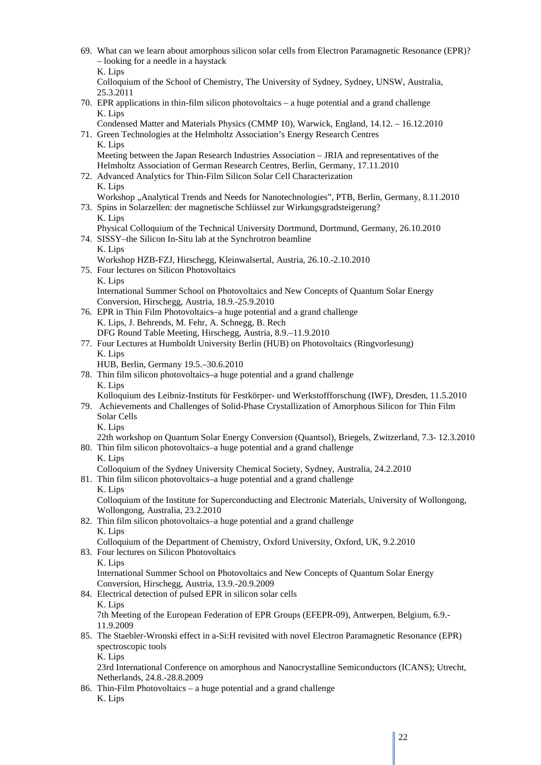| 69. What can we learn about amorphous silicon solar cells from Electron Paramagnetic Resonance (EPR)?<br>- looking for a needle in a haystack                                                                         |
|-----------------------------------------------------------------------------------------------------------------------------------------------------------------------------------------------------------------------|
| K. Lips<br>Colloquium of the School of Chemistry, The University of Sydney, Sydney, UNSW, Australia,<br>25.3.2011                                                                                                     |
| 70. EPR applications in thin-film silicon photovoltaics $-$ a huge potential and a grand challenge<br>K. Lips                                                                                                         |
| Condensed Matter and Materials Physics (CMMP 10), Warwick, England, 14.12. - 16.12.2010<br>71. Green Technologies at the Helmholtz Association's Energy Research Centres                                              |
| K. Lips<br>Meeting between the Japan Research Industries Association – JRIA and representatives of the<br>Helmholtz Association of German Research Centres, Berlin, Germany, 17.11.2010                               |
| 72. Advanced Analytics for Thin-Film Silicon Solar Cell Characterization<br>K. Lips<br>Workshop "Analytical Trends and Needs for Nanotechnologies", PTB, Berlin, Germany, 8.11.2010                                   |
| 73. Spins in Solarzellen: der magnetische Schlüssel zur Wirkungsgradsteigerung?<br>K. Lips                                                                                                                            |
| Physical Colloquium of the Technical University Dortmund, Dortmund, Germany, 26.10.2010<br>74. SISSY-the Silicon In-Situ lab at the Synchrotron beamline                                                              |
| K. Lips<br>Workshop HZB-FZJ, Hirschegg, Kleinwalsertal, Austria, 26.10.-2.10.2010<br>75. Four lectures on Silicon Photovoltaics                                                                                       |
| K. Lips<br>International Summer School on Photovoltaics and New Concepts of Quantum Solar Energy                                                                                                                      |
| Conversion, Hirschegg, Austria, 18.9.-25.9.2010<br>76. EPR in Thin Film Photovoltaics-a huge potential and a grand challenge<br>K. Lips, J. Behrends, M. Fehr, A. Schnegg, B. Rech                                    |
| DFG Round Table Meeting, Hirschegg, Austria, 8.9 .- 11.9.2010<br>77. Four Lectures at Humboldt University Berlin (HUB) on Photovoltaics (Ringvorlesung)                                                               |
| K. Lips<br>HUB, Berlin, Germany 19.5.-30.6.2010                                                                                                                                                                       |
| 78. Thin film silicon photovoltaics-a huge potential and a grand challenge<br>K. Lips                                                                                                                                 |
| Kolloquium des Leibniz-Instituts für Festkörper- und Werkstoffforschung (IWF), Dresden, 11.5.2010<br>79. Achievements and Challenges of Solid-Phase Crystallization of Amorphous Silicon for Thin Film<br>Solar Cells |
| K. Lips<br>22th workshop on Quantum Solar Energy Conversion (Quantsol), Briegels, Zwitzerland, 7.3-12.3.2010                                                                                                          |
| 80. Thin film silicon photovoltaics–a huge potential and a grand challenge<br>K. Lips                                                                                                                                 |
| Colloquium of the Sydney University Chemical Society, Sydney, Australia, 24.2.2010<br>81. Thin film silicon photovoltaics-a huge potential and a grand challenge                                                      |
| K. Lips<br>Colloquium of the Institute for Superconducting and Electronic Materials, University of Wollongong,<br>Wollongong, Australia, 23.2.2010                                                                    |
| 82. Thin film silicon photovoltaics–a huge potential and a grand challenge<br>K. Lips                                                                                                                                 |
| Colloquium of the Department of Chemistry, Oxford University, Oxford, UK, 9.2.2010<br>83. Four lectures on Silicon Photovoltaics<br>K. Lips                                                                           |
| International Summer School on Photovoltaics and New Concepts of Quantum Solar Energy<br>Conversion, Hirschegg, Austria, 13.9.-20.9.2009<br>84. Electrical detection of pulsed EPR in silicon solar cells             |
| K. Lips<br>7th Meeting of the European Federation of EPR Groups (EFEPR-09), Antwerpen, Belgium, 6.9.-                                                                                                                 |
| 11.9.2009<br>85. The Staebler-Wronski effect in a-Si:H revisited with novel Electron Paramagnetic Resonance (EPR)                                                                                                     |
| spectroscopic tools<br>K. Lips                                                                                                                                                                                        |
| 23rd International Conference on amorphous and Nanocrystalline Semiconductors (ICANS); Utrecht,<br>Netherlands, 24.8.-28.8.2009                                                                                       |
| 86. Thin-Film Photovoltaics - a huge potential and a grand challenge<br>K. Lips                                                                                                                                       |

 $\parallel$  22

I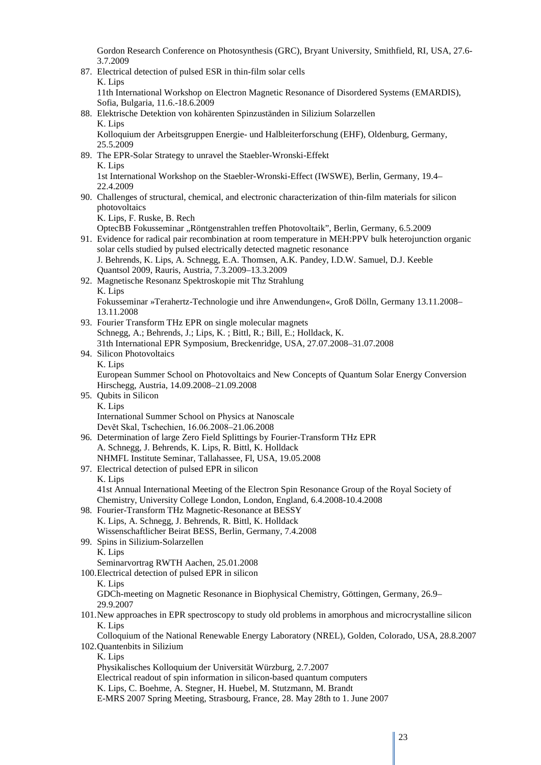Gordon Research Conference on Photosynthesis (GRC), Bryant University, Smithfield, RI, USA, 27.6- 3.7.2009

87. Electrical detection of pulsed ESR in thin-film solar cells K. Lips

11th International Workshop on Electron Magnetic Resonance of Disordered Systems (EMARDIS), Sofia, Bulgaria, 11.6.-18.6.2009

- 88. Elektrische Detektion von kohärenten Spinzuständen in Silizium Solarzellen K. Lips Kolloquium der Arbeitsgruppen Energie- und Halbleiterforschung (EHF), Oldenburg, Germany, 25.5.2009
- 89. The EPR-Solar Strategy to unravel the Staebler-Wronski-Effekt K. Lips

1st International Workshop on the Staebler-Wronski-Effect (IWSWE), Berlin, Germany, 19.4– 22.4.2009

90. Challenges of structural, chemical, and electronic characterization of thin-film materials for silicon photovoltaics

K. Lips, F. Ruske, B. Rech

OptecBB Fokusseminar "Röntgenstrahlen treffen Photovoltaik", Berlin, Germany, 6.5.2009

91. Evidence for radical pair recombination at room temperature in MEH:PPV bulk heterojunction organic solar cells studied by pulsed electrically detected magnetic resonance J. Behrends, K. Lips, A. Schnegg, E.A. Thomsen, A.K. Pandey, I.D.W. Samuel, D.J. Keeble

Quantsol 2009, Rauris, Austria, 7.3.2009–13.3.2009

92. Magnetische Resonanz Spektroskopie mit Thz Strahlung K. Lips

Fokusseminar »Terahertz-Technologie und ihre Anwendungen«, Groß Dölln, Germany 13.11.2008– 13.11.2008

- 93. Fourier Transform THz EPR on single molecular magnets Schnegg, A.; Behrends, J.; Lips, K. ; Bittl, R.; Bill, E.; Holldack, K. 31th International EPR Symposium, Breckenridge, USA, 27.07.2008–31.07.2008
- 94. Silicon Photovoltaics K. Lips

European Summer School on Photovoltaics and New Concepts of Quantum Solar Energy Conversion Hirschegg, Austria, 14.09.2008–21.09.2008

- 95. Qubits in Silicon K. Lips International Summer School on Physics at Nanoscale Devět Skal, Tschechien, 16.06.2008–21.06.2008
- 96. Determination of large Zero Field Splittings by Fourier-Transform THz EPR A. Schnegg, J. Behrends, K. Lips, R. Bittl, K. Holldack NHMFL Institute Seminar, Tallahassee, Fl, USA, 19.05.2008
- 97. Electrical detection of pulsed EPR in silicon K. Lips

41st Annual International Meeting of the Electron Spin Resonance Group of the Royal Society of Chemistry, University College London, London, England, 6.4.2008-10.4.2008

- 98. Fourier-Transform THz Magnetic-Resonance at BESSY K. Lips, A. Schnegg, J. Behrends, R. Bittl, K. Holldack Wissenschaftlicher Beirat BESS, Berlin, Germany, 7.4.2008 99. Spins in Silizium-Solarzellen
- K. Lips Seminarvortrag RWTH Aachen, 25.01.2008
- 100.Electrical detection of pulsed EPR in silicon

### K. Lips

GDCh-meeting on Magnetic Resonance in Biophysical Chemistry, Göttingen, Germany, 26.9– 29.9.2007

101.New approaches in EPR spectroscopy to study old problems in amorphous and microcrystalline silicon K. Lips

Colloquium of the National Renewable Energy Laboratory (NREL), Golden, Colorado, USA, 28.8.2007 102.Quantenbits in Silizium

K. Lips

Physikalisches Kolloquium der Universität Würzburg, 2.7.2007

- Electrical readout of spin information in silicon-based quantum computers
- K. Lips, C. Boehme, A. Stegner, H. Huebel, M. Stutzmann, M. Brandt

E-MRS 2007 Spring Meeting, Strasbourg, France, 28. May 28th to 1. June 2007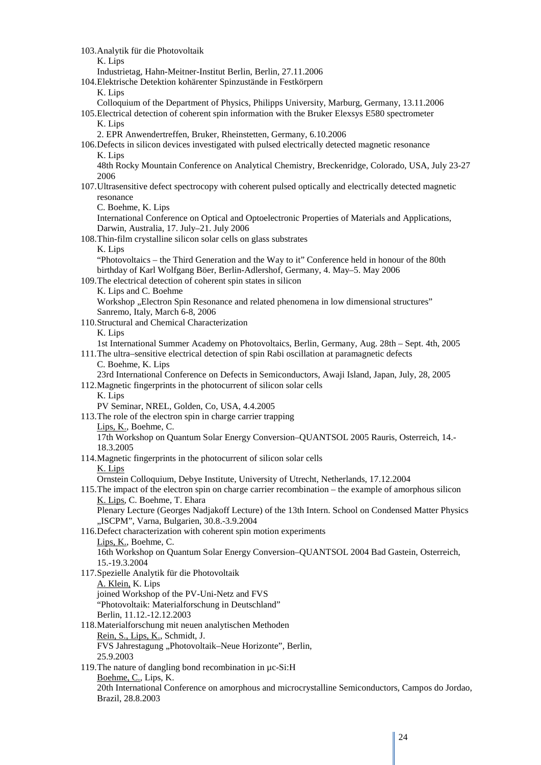103.Analytik für die Photovoltaik K. Lips Industrietag, Hahn-Meitner-Institut Berlin, Berlin, 27.11.2006 104.Elektrische Detektion kohärenter Spinzustände in Festkörpern K. Lips Colloquium of the Department of Physics, Philipps University, Marburg, Germany, 13.11.2006 105.Electrical detection of coherent spin information with the Bruker Elexsys E580 spectrometer K. Lips 2. EPR Anwendertreffen, Bruker, Rheinstetten, Germany, 6.10.2006 106.Defects in silicon devices investigated with pulsed electrically detected magnetic resonance K. Lips 48th Rocky Mountain Conference on Analytical Chemistry, Breckenridge, Colorado, USA, July 23-27 2006 107.Ultrasensitive defect spectrocopy with coherent pulsed optically and electrically detected magnetic resonance C. Boehme, K. Lips International Conference on Optical and Optoelectronic Properties of Materials and Applications, Darwin, Australia, 17. July–21. July 2006 108.Thin-film crystalline silicon solar cells on glass substrates K. Lips "Photovoltaics – the Third Generation and the Way to it" Conference held in honour of the 80th birthday of Karl Wolfgang Böer, Berlin-Adlershof, Germany, 4. May–5. May 2006 109.The electrical detection of coherent spin states in silicon K. Lips and C. Boehme Workshop "Electron Spin Resonance and related phenomena in low dimensional structures" Sanremo, Italy, March 6-8, 2006 110.Structural and Chemical Characterization K. Lips 1st International Summer Academy on Photovoltaics, Berlin, Germany, Aug. 28th – Sept. 4th, 2005 111.The ultra–sensitive electrical detection of spin Rabi oscillation at paramagnetic defects C. Boehme, K. Lips 23rd International Conference on Defects in Semiconductors, Awaji Island, Japan, July, 28, 2005 112.Magnetic fingerprints in the photocurrent of silicon solar cells K. Lips PV Seminar, NREL, Golden, Co, USA, 4.4.2005 113.The role of the electron spin in charge carrier trapping Lips, K., Boehme, C. 17th Workshop on Quantum Solar Energy Conversion–QUANTSOL 2005 Rauris, Osterreich, 14.- 18.3.2005 114.Magnetic fingerprints in the photocurrent of silicon solar cells K. Lips Ornstein Colloquium, Debye Institute, University of Utrecht, Netherlands, 17.12.2004 115.The impact of the electron spin on charge carrier recombination – the example of amorphous silicon K. Lips, C. Boehme, T. Ehara Plenary Lecture (Georges Nadjakoff Lecture) of the 13th Intern. School on Condensed Matter Physics "ISCPM", Varna, Bulgarien, 30.8.-3.9.2004 116.Defect characterization with coherent spin motion experiments Lips, K., Boehme, C. 16th Workshop on Quantum Solar Energy Conversion–QUANTSOL 2004 Bad Gastein, Osterreich, 15.-19.3.2004 117.Spezielle Analytik für die Photovoltaik A. Klein, K. Lips joined Workshop of the PV-Uni-Netz and FVS "Photovoltaik: Materialforschung in Deutschland" Berlin, 11.12.-12.12.2003 118.Materialforschung mit neuen analytischen Methoden Rein, S., Lips, K., Schmidt, J. FVS Jahrestagung "Photovoltaik–Neue Horizonte", Berlin, 25.9.2003 119.The nature of dangling bond recombination in µc-Si:H Boehme, C., Lips, K. 20th International Conference on amorphous and microcrystalline Semiconductors, Campos do Jordao, Brazil, 28.8.2003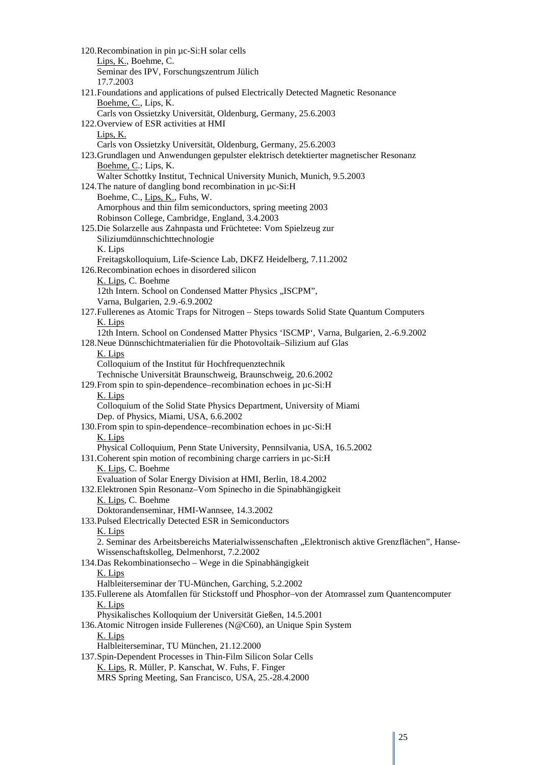120.Recombination in pin µc-Si:H solar cells Lips, K., Boehme, C. Seminar des IPV, Forschungszentrum Jülich 17.7.2003 121.Foundations and applications of pulsed Electrically Detected Magnetic Resonance Boehme, C., Lips, K. Carls von Ossietzky Universität, Oldenburg, Germany, 25.6.2003 122.Overview of ESR activities at HMI Lips, K. Carls von Ossietzky Universität, Oldenburg, Germany, 25.6.2003 123.Grundlagen und Anwendungen gepulster elektrisch detektierter magnetischer Resonanz Boehme, C.; Lips, K. Walter Schottky Institut, Technical University Munich, Munich, 9.5.2003 124.The nature of dangling bond recombination in µc-Si:H Boehme, C., Lips, K., Fuhs, W. Amorphous and thin film semiconductors, spring meeting 2003 Robinson College, Cambridge, England, 3.4.2003 125.Die Solarzelle aus Zahnpasta und Früchtetee: Vom Spielzeug zur Siliziumdünnschichttechnologie K. Lips Freitagskolloquium, Life-Science Lab, DKFZ Heidelberg, 7.11.2002 126.Recombination echoes in disordered silicon K. Lips, C. Boehme 12th Intern. School on Condensed Matter Physics "ISCPM", Varna, Bulgarien, 2.9.-6.9.2002 127.Fullerenes as Atomic Traps for Nitrogen – Steps towards Solid State Quantum Computers K. Lips 12th Intern. School on Condensed Matter Physics 'ISCMP', Varna, Bulgarien, 2.-6.9.2002 128.Neue Dünnschichtmaterialien für die Photovoltaik–Silizium auf Glas K. Lips Colloquium of the Institut für Hochfrequenztechnik Technische Universität Braunschweig, Braunschweig, 20.6.2002 129.From spin to spin-dependence–recombination echoes in µc-Si:H K. Lips Colloquium of the Solid State Physics Department, University of Miami Dep. of Physics, Miami, USA, 6.6.2002 130.From spin to spin-dependence–recombination echoes in µc-Si:H K. Lips Physical Colloquium, Penn State University, Pennsilvania, USA, 16.5.2002 131.Coherent spin motion of recombining charge carriers in µc-Si:H K. Lips, C. Boehme Evaluation of Solar Energy Division at HMI, Berlin, 18.4.2002 132.Elektronen Spin Resonanz–Vom Spinecho in die Spinabhängigkeit K. Lips, C. Boehme Doktorandenseminar, HMI-Wannsee, 14.3.2002 133.Pulsed Electrically Detected ESR in Semiconductors K. Lips 2. Seminar des Arbeitsbereichs Materialwissenschaften "Elektronisch aktive Grenzflächen", Hanse-Wissenschaftskolleg, Delmenhorst, 7.2.2002 134.Das Rekombinationsecho – Wege in die Spinabhängigkeit K. Lips Halbleiterseminar der TU-München, Garching, 5.2.2002 135.Fullerene als Atomfallen für Stickstoff und Phosphor–von der Atomrassel zum Quantencomputer K. Lips Physikalisches Kolloquium der Universität Gießen, 14.5.2001 136.Atomic Nitrogen inside Fullerenes (N@C60), an Unique Spin System K. Lips Halbleiterseminar, TU München, 21.12.2000 137.Spin-Dependent Processes in Thin-Film Silicon Solar Cells K. Lips, R. Müller, P. Kanschat, W. Fuhs, F. Finger MRS Spring Meeting, San Francisco, USA, 25.-28.4.2000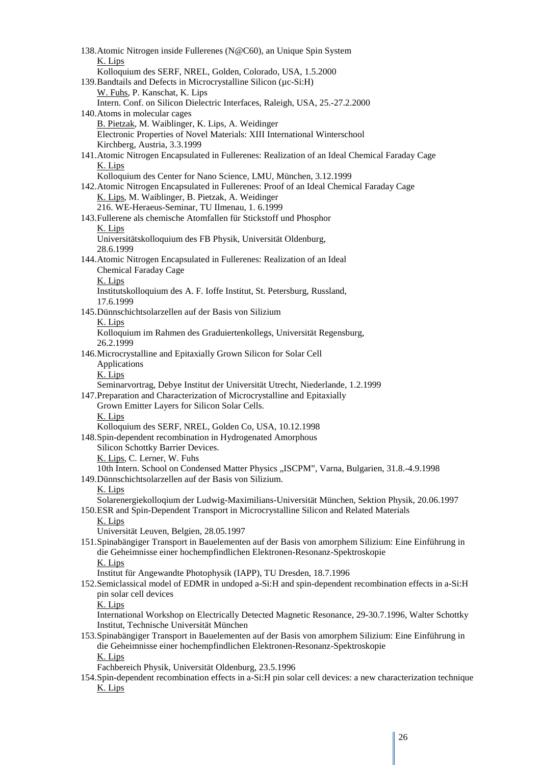| 138. Atomic Nitrogen inside Fullerenes (N@C60), an Unique Spin System                                        |
|--------------------------------------------------------------------------------------------------------------|
| K. Lips                                                                                                      |
| Kolloquium des SERF, NREL, Golden, Colorado, USA, 1.5.2000                                                   |
| 139. Bandtails and Defects in Microcrystalline Silicon (µc-Si:H)                                             |
| W. Fuhs, P. Kanschat, K. Lips                                                                                |
| Intern. Conf. on Silicon Dielectric Interfaces, Raleigh, USA, 25.-27.2.2000                                  |
| 140. Atoms in molecular cages                                                                                |
| B. Pietzak, M. Waiblinger, K. Lips, A. Weidinger                                                             |
| Electronic Properties of Novel Materials: XIII International Winterschool                                    |
| Kirchberg, Austria, 3.3.1999                                                                                 |
| 141. Atomic Nitrogen Encapsulated in Fullerenes: Realization of an Ideal Chemical Faraday Cage               |
| K. Lips                                                                                                      |
| Kolloquium des Center for Nano Science, LMU, München, 3.12.1999                                              |
| 142. Atomic Nitrogen Encapsulated in Fullerenes: Proof of an Ideal Chemical Faraday Cage                     |
| K. Lips, M. Waiblinger, B. Pietzak, A. Weidinger                                                             |
|                                                                                                              |
| 216. WE-Heraeus-Seminar, TU Ilmenau, 1. 6.1999                                                               |
| 143. Fullerene als chemische Atomfallen für Stickstoff und Phosphor                                          |
| K. Lips                                                                                                      |
| Universitätskolloquium des FB Physik, Universität Oldenburg,                                                 |
| 28.6.1999                                                                                                    |
| 144. Atomic Nitrogen Encapsulated in Fullerenes: Realization of an Ideal                                     |
| Chemical Faraday Cage                                                                                        |
| K. Lips                                                                                                      |
| Institutskolloquium des A. F. Ioffe Institut, St. Petersburg, Russland,                                      |
| 17.6.1999                                                                                                    |
| 145. Dünnschichtsolarzellen auf der Basis von Silizium                                                       |
| K. Lips                                                                                                      |
| Kolloquium im Rahmen des Graduiertenkollegs, Universität Regensburg,                                         |
| 26.2.1999                                                                                                    |
| 146. Microcrystalline and Epitaxially Grown Silicon for Solar Cell                                           |
| Applications                                                                                                 |
| K. Lips                                                                                                      |
| Seminarvortrag, Debye Institut der Universität Utrecht, Niederlande, 1.2.1999                                |
| 147. Preparation and Characterization of Microcrystalline and Epitaxially                                    |
| Grown Emitter Layers for Silicon Solar Cells.                                                                |
| K. Lips                                                                                                      |
| Kolloquium des SERF, NREL, Golden Co, USA, 10.12.1998                                                        |
| 148. Spin-dependent recombination in Hydrogenated Amorphous                                                  |
|                                                                                                              |
| Silicon Schottky Barrier Devices.                                                                            |
| K. Lips, C. Lerner, W. Fuhs                                                                                  |
| 10th Intern. School on Condensed Matter Physics "ISCPM", Varna, Bulgarien, 31.8.-4.9.1998                    |
| 149. Dünnschichtsolarzellen auf der Basis von Silizium.                                                      |
| K. Lips                                                                                                      |
| Solarenergiekolloqium der Ludwig-Maximilians-Universität München, Sektion Physik, 20.06.1997                 |
| 150.ESR and Spin-Dependent Transport in Microcrystalline Silicon and Related Materials                       |
| K. Lips                                                                                                      |
| Universität Leuven, Belgien, 28.05.1997                                                                      |
| 151. Spinabängiger Transport in Bauelementen auf der Basis von amorphem Silizium: Eine Einführung in         |
| die Geheimnisse einer hochempfindlichen Elektronen-Resonanz-Spektroskopie                                    |
| K. Lips                                                                                                      |
| Institut für Angewandte Photophysik (IAPP), TU Dresden, 18.7.1996                                            |
| 152. Semiclassical model of EDMR in undoped a-Si:H and spin-dependent recombination effects in a-Si:H        |
| pin solar cell devices                                                                                       |
| K. Lips                                                                                                      |
| International Workshop on Electrically Detected Magnetic Resonance, 29-30.7.1996, Walter Schottky            |
| Institut, Technische Universität München                                                                     |
| 153. Spinabängiger Transport in Bauelementen auf der Basis von amorphem Silizium: Eine Einführung in         |
| die Geheimnisse einer hochempfindlichen Elektronen-Resonanz-Spektroskopie                                    |
| K. Lips                                                                                                      |
| Fachbereich Physik, Universität Oldenburg, 23.5.1996                                                         |
| 154. Spin-dependent recombination effects in a-Si:H pin solar cell devices: a new characterization technique |
| K. Lips                                                                                                      |
|                                                                                                              |

I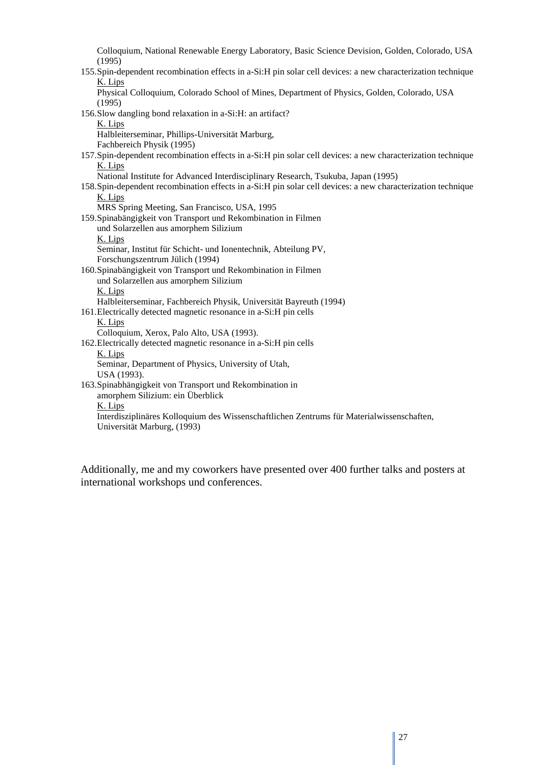Colloquium, National Renewable Energy Laboratory, Basic Science Devision, Golden, Colorado, USA (1995) 155.Spin-dependent recombination effects in a-Si:H pin solar cell devices: a new characterization technique K. Lips Physical Colloquium, Colorado School of Mines, Department of Physics, Golden, Colorado, USA (1995) 156.Slow dangling bond relaxation in a-Si:H: an artifact? K. Lips Halbleiterseminar, Phillips-Universität Marburg, Fachbereich Physik (1995) 157.Spin-dependent recombination effects in a-Si:H pin solar cell devices: a new characterization technique K. Lips National Institute for Advanced Interdisciplinary Research, Tsukuba, Japan (1995) 158.Spin-dependent recombination effects in a-Si:H pin solar cell devices: a new characterization technique K. Lips MRS Spring Meeting, San Francisco, USA, 1995 159.Spinabängigkeit von Transport und Rekombination in Filmen und Solarzellen aus amorphem Silizium K. Lips Seminar, Institut für Schicht- und Ionentechnik, Abteilung PV, Forschungszentrum Jülich (1994) 160.Spinabängigkeit von Transport und Rekombination in Filmen und Solarzellen aus amorphem Silizium K. Lips Halbleiterseminar, Fachbereich Physik, Universität Bayreuth (1994) 161.Electrically detected magnetic resonance in a-Si:H pin cells K. Lips Colloquium, Xerox, Palo Alto, USA (1993). 162.Electrically detected magnetic resonance in a-Si:H pin cells K. Lips Seminar, Department of Physics, University of Utah, USA (1993). 163.Spinabhängigkeit von Transport und Rekombination in amorphem Silizium: ein Überblick K. Lips Interdisziplinäres Kolloquium des Wissenschaftlichen Zentrums für Materialwissenschaften, Universität Marburg, (1993)

Additionally, me and my coworkers have presented over 400 further talks and posters at international workshops und conferences.